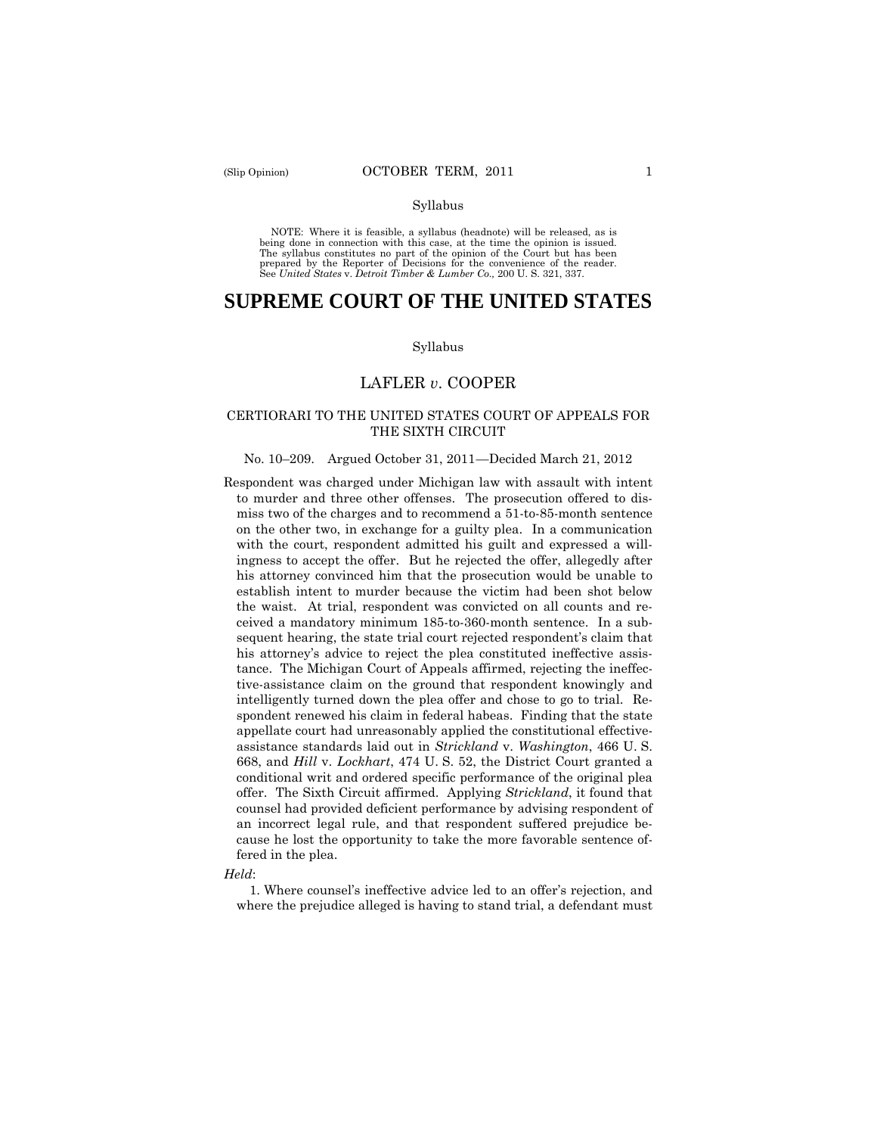#### Syllabus

 NOTE: Where it is feasible, a syllabus (headnote) will be released, as is being done in connection with this case, at the time the opinion is issued. The syllabus constitutes no part of the opinion of the Court but has been<br>prepared by the Reporter of Decisions for the convenience of the reader.<br>See United States v. Detroit Timber & Lumber Co., 200 U. S. 321, 337.

# **SUPREME COURT OF THE UNITED STATES**

#### Syllabus

## LAFLER *v*. COOPER

### CERTIORARI TO THE UNITED STATES COURT OF APPEALS FOR THE SIXTH CIRCUIT

#### No. 10–209. Argued October 31, 2011—Decided March 21, 2012

Respondent was charged under Michigan law with assault with intent to murder and three other offenses. The prosecution offered to dismiss two of the charges and to recommend a 51-to-85-month sentence on the other two, in exchange for a guilty plea. In a communication with the court, respondent admitted his guilt and expressed a willingness to accept the offer. But he rejected the offer, allegedly after his attorney convinced him that the prosecution would be unable to establish intent to murder because the victim had been shot below the waist. At trial, respondent was convicted on all counts and received a mandatory minimum 185-to-360-month sentence. In a subsequent hearing, the state trial court rejected respondent's claim that his attorney's advice to reject the plea constituted ineffective assistance. The Michigan Court of Appeals affirmed, rejecting the ineffective-assistance claim on the ground that respondent knowingly and intelligently turned down the plea offer and chose to go to trial. Respondent renewed his claim in federal habeas. Finding that the state appellate court had unreasonably applied the constitutional effectiveassistance standards laid out in *Strickland* v. *Washington*, 466 U. S. 668, and *Hill* v. *Lockhart*, 474 U. S. 52, the District Court granted a conditional writ and ordered specific performance of the original plea offer. The Sixth Circuit affirmed. Applying *Strickland*, it found that counsel had provided deficient performance by advising respondent of an incorrect legal rule, and that respondent suffered prejudice because he lost the opportunity to take the more favorable sentence offered in the plea.

#### *Held*:

1. Where counsel's ineffective advice led to an offer's rejection, and where the prejudice alleged is having to stand trial, a defendant must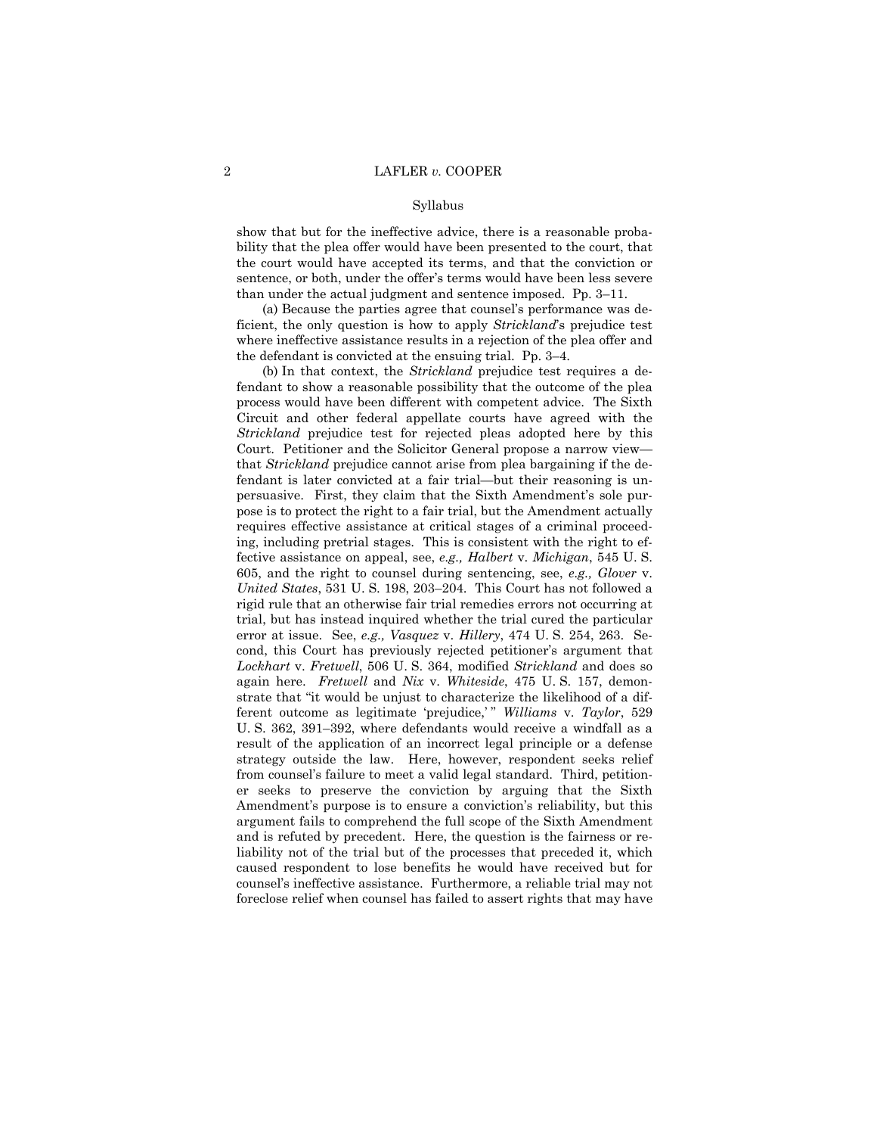#### Syllabus

show that but for the ineffective advice, there is a reasonable probability that the plea offer would have been presented to the court, that the court would have accepted its terms, and that the conviction or sentence, or both, under the offer's terms would have been less severe than under the actual judgment and sentence imposed. Pp. 3–11.

(a) Because the parties agree that counsel's performance was deficient, the only question is how to apply *Strickland*'s prejudice test where ineffective assistance results in a rejection of the plea offer and the defendant is convicted at the ensuing trial. Pp. 3–4.

 foreclose relief when counsel has failed to assert rights that may have (b) In that context, the *Strickland* prejudice test requires a defendant to show a reasonable possibility that the outcome of the plea process would have been different with competent advice. The Sixth Circuit and other federal appellate courts have agreed with the *Strickland* prejudice test for rejected pleas adopted here by this Court. Petitioner and the Solicitor General propose a narrow view that *Strickland* prejudice cannot arise from plea bargaining if the defendant is later convicted at a fair trial—but their reasoning is unpersuasive. First, they claim that the Sixth Amendment's sole purpose is to protect the right to a fair trial, but the Amendment actually requires effective assistance at critical stages of a criminal proceeding, including pretrial stages. This is consistent with the right to effective assistance on appeal, see, *e.g., Halbert* v. *Michigan*, 545 U. S. 605, and the right to counsel during sentencing, see, *e.g., Glover* v. *United States*, 531 U. S. 198, 203–204. This Court has not followed a rigid rule that an otherwise fair trial remedies errors not occurring at trial, but has instead inquired whether the trial cured the particular error at issue. See, *e.g., Vasquez* v. *Hillery*, 474 U. S. 254, 263. Second, this Court has previously rejected petitioner's argument that *Lockhart* v. *Fretwell*, 506 U. S. 364, modified *Strickland* and does so again here. *Fretwell* and *Nix* v. *Whiteside*, 475 U. S. 157, demonstrate that "it would be unjust to characterize the likelihood of a different outcome as legitimate 'prejudice,' " *Williams* v. *Taylor*, 529 U. S. 362, 391–392, where defendants would receive a windfall as a result of the application of an incorrect legal principle or a defense strategy outside the law. Here, however, respondent seeks relief from counsel's failure to meet a valid legal standard. Third, petitioner seeks to preserve the conviction by arguing that the Sixth Amendment's purpose is to ensure a conviction's reliability, but this argument fails to comprehend the full scope of the Sixth Amendment and is refuted by precedent. Here, the question is the fairness or reliability not of the trial but of the processes that preceded it, which caused respondent to lose benefits he would have received but for counsel's ineffective assistance. Furthermore, a reliable trial may not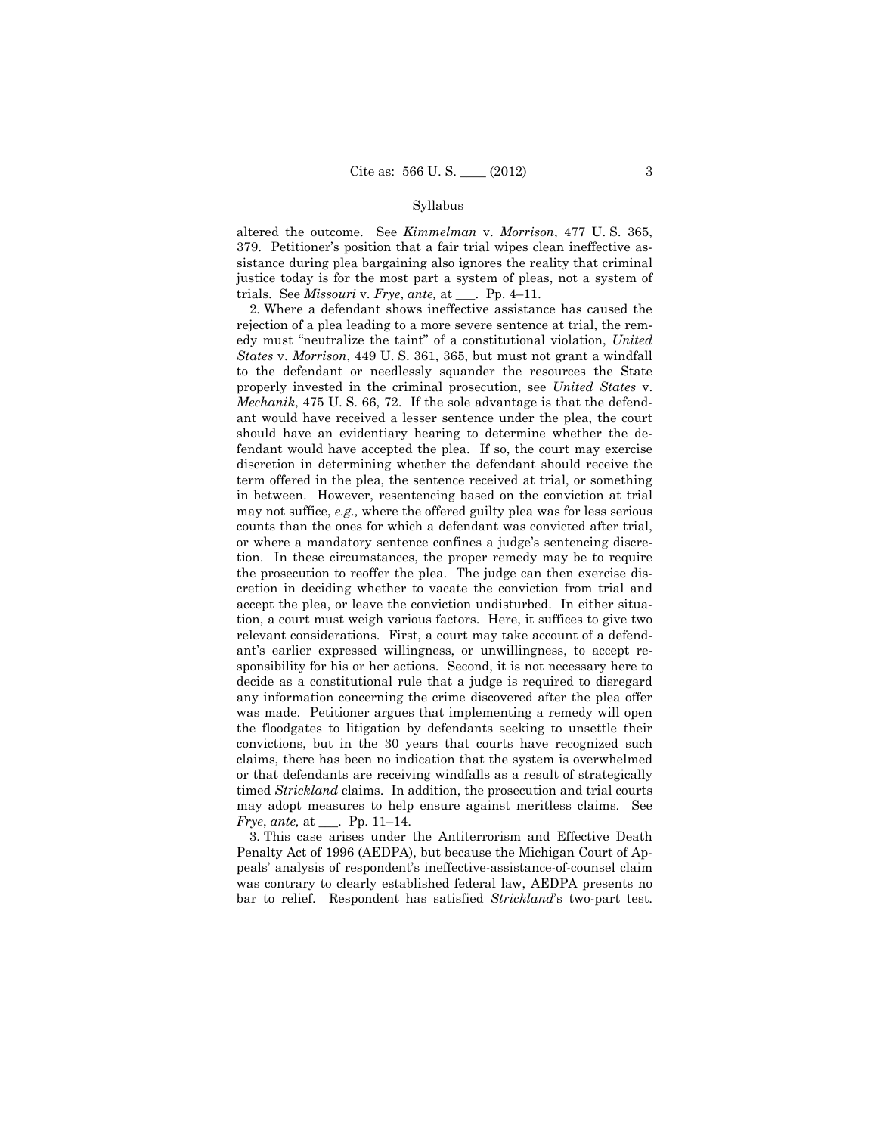#### Syllabus

altered the outcome. See *Kimmelman* v. *Morrison*, 477 U. S. 365, 379. Petitioner's position that a fair trial wipes clean ineffective assistance during plea bargaining also ignores the reality that criminal justice today is for the most part a system of pleas, not a system of trials. See *Missouri* v. *Frye*, *ante,* at \_\_\_. Pp. 4–11.

2. Where a defendant shows ineffective assistance has caused the rejection of a plea leading to a more severe sentence at trial, the remedy must "neutralize the taint" of a constitutional violation, *United States* v. *Morrison*, 449 U. S. 361, 365, but must not grant a windfall to the defendant or needlessly squander the resources the State properly invested in the criminal prosecution, see *United States* v. *Mechanik*, 475 U. S. 66, 72. If the sole advantage is that the defendant would have received a lesser sentence under the plea, the court should have an evidentiary hearing to determine whether the defendant would have accepted the plea. If so, the court may exercise discretion in determining whether the defendant should receive the term offered in the plea, the sentence received at trial, or something in between. However, resentencing based on the conviction at trial may not suffice, *e.g.,* where the offered guilty plea was for less serious counts than the ones for which a defendant was convicted after trial, or where a mandatory sentence confines a judge's sentencing discretion. In these circumstances, the proper remedy may be to require the prosecution to reoffer the plea. The judge can then exercise discretion in deciding whether to vacate the conviction from trial and accept the plea, or leave the conviction undisturbed. In either situation, a court must weigh various factors. Here, it suffices to give two relevant considerations. First, a court may take account of a defendant's earlier expressed willingness, or unwillingness, to accept responsibility for his or her actions. Second, it is not necessary here to decide as a constitutional rule that a judge is required to disregard any information concerning the crime discovered after the plea offer was made. Petitioner argues that implementing a remedy will open the floodgates to litigation by defendants seeking to unsettle their convictions, but in the 30 years that courts have recognized such claims, there has been no indication that the system is overwhelmed or that defendants are receiving windfalls as a result of strategically timed *Strickland* claims. In addition, the prosecution and trial courts may adopt measures to help ensure against meritless claims. See *Frye*, *ante,* at \_\_\_. Pp. 11–14.

3. This case arises under the Antiterrorism and Effective Death Penalty Act of 1996 (AEDPA), but because the Michigan Court of Appeals' analysis of respondent's ineffective-assistance-of-counsel claim was contrary to clearly established federal law, AEDPA presents no bar to relief. Respondent has satisfied *Strickland*'s two-part test.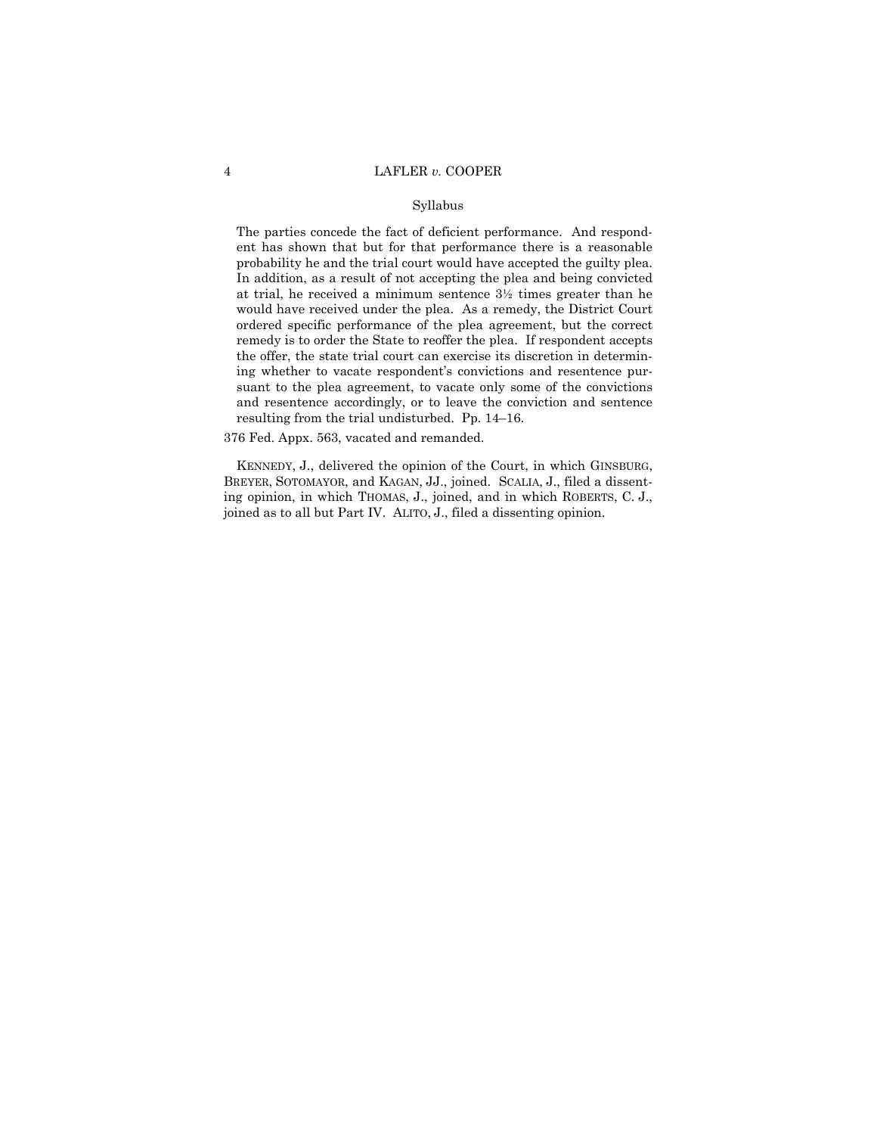#### Syllabus

 probability he and the trial court would have accepted the guilty plea. would have received under the plea. As a remedy, the District Court The parties concede the fact of deficient performance. And respondent has shown that but for that performance there is a reasonable In addition, as a result of not accepting the plea and being convicted at trial, he received a minimum sentence 3½ times greater than he ordered specific performance of the plea agreement, but the correct remedy is to order the State to reoffer the plea. If respondent accepts the offer, the state trial court can exercise its discretion in determining whether to vacate respondent's convictions and resentence pursuant to the plea agreement, to vacate only some of the convictions and resentence accordingly, or to leave the conviction and sentence resulting from the trial undisturbed. Pp. 14–16.

376 Fed. Appx. 563, vacated and remanded.

KENNEDY, J., delivered the opinion of the Court, in which GINSBURG, BREYER, SOTOMAYOR, and KAGAN, JJ., joined. SCALIA, J., filed a dissenting opinion, in which THOMAS, J., joined, and in which ROBERTS, C. J., joined as to all but Part IV. ALITO, J., filed a dissenting opinion.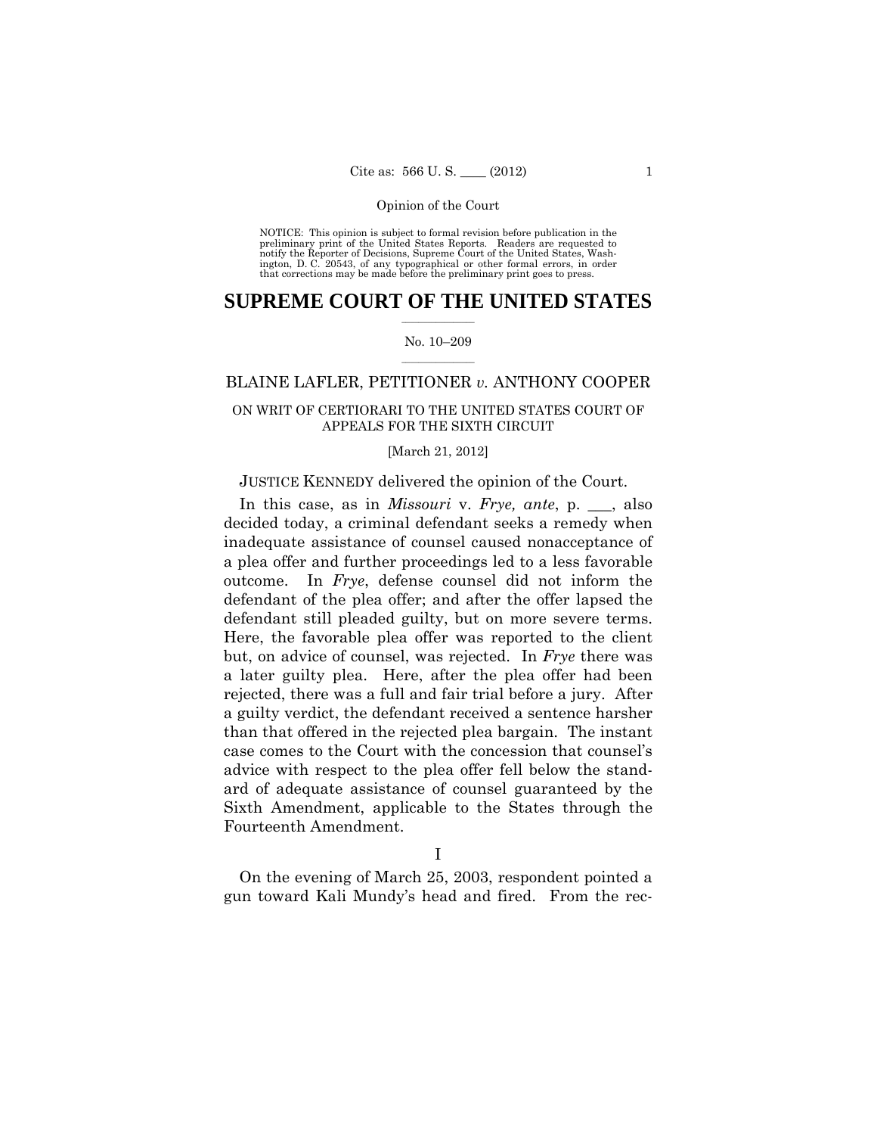preliminary print of the United States Reports. Readers are requested to notify the Reporter of Decisions, Supreme Court of the United States, Wash- ington, D. C. 20543, of any typographical or other formal errors, in order that corrections may be made before the preliminary print goes to press. NOTICE: This opinion is subject to formal revision before publication in the

## $\frac{1}{2}$  ,  $\frac{1}{2}$  ,  $\frac{1}{2}$  ,  $\frac{1}{2}$  ,  $\frac{1}{2}$  ,  $\frac{1}{2}$  ,  $\frac{1}{2}$ **SUPREME COURT OF THE UNITED STATES**

#### $\frac{1}{2}$  ,  $\frac{1}{2}$  ,  $\frac{1}{2}$  ,  $\frac{1}{2}$  ,  $\frac{1}{2}$  ,  $\frac{1}{2}$ No. 10–209

## BLAINE LAFLER, PETITIONER *v.* ANTHONY COOPER

## ON WRIT OF CERTIORARI TO THE UNITED STATES COURT OF APPEALS FOR THE SIXTH CIRCUIT

### [March 21, 2012]

## JUSTICE KENNEDY delivered the opinion of the Court.

In this case, as in *Missouri* v. *Frye, ante*, p. \_\_\_, also decided today, a criminal defendant seeks a remedy when inadequate assistance of counsel caused nonacceptance of a plea offer and further proceedings led to a less favorable outcome. In *Frye*, defense counsel did not inform the defendant of the plea offer; and after the offer lapsed the defendant still pleaded guilty, but on more severe terms. Here, the favorable plea offer was reported to the client but, on advice of counsel, was rejected. In *Frye* there was a later guilty plea. Here, after the plea offer had been rejected, there was a full and fair trial before a jury. After a guilty verdict, the defendant received a sentence harsher than that offered in the rejected plea bargain. The instant case comes to the Court with the concession that counsel's advice with respect to the plea offer fell below the standard of adequate assistance of counsel guaranteed by the Sixth Amendment, applicable to the States through the Fourteenth Amendment.

On the evening of March 25, 2003, respondent pointed a gun toward Kali Mundy's head and fired. From the rec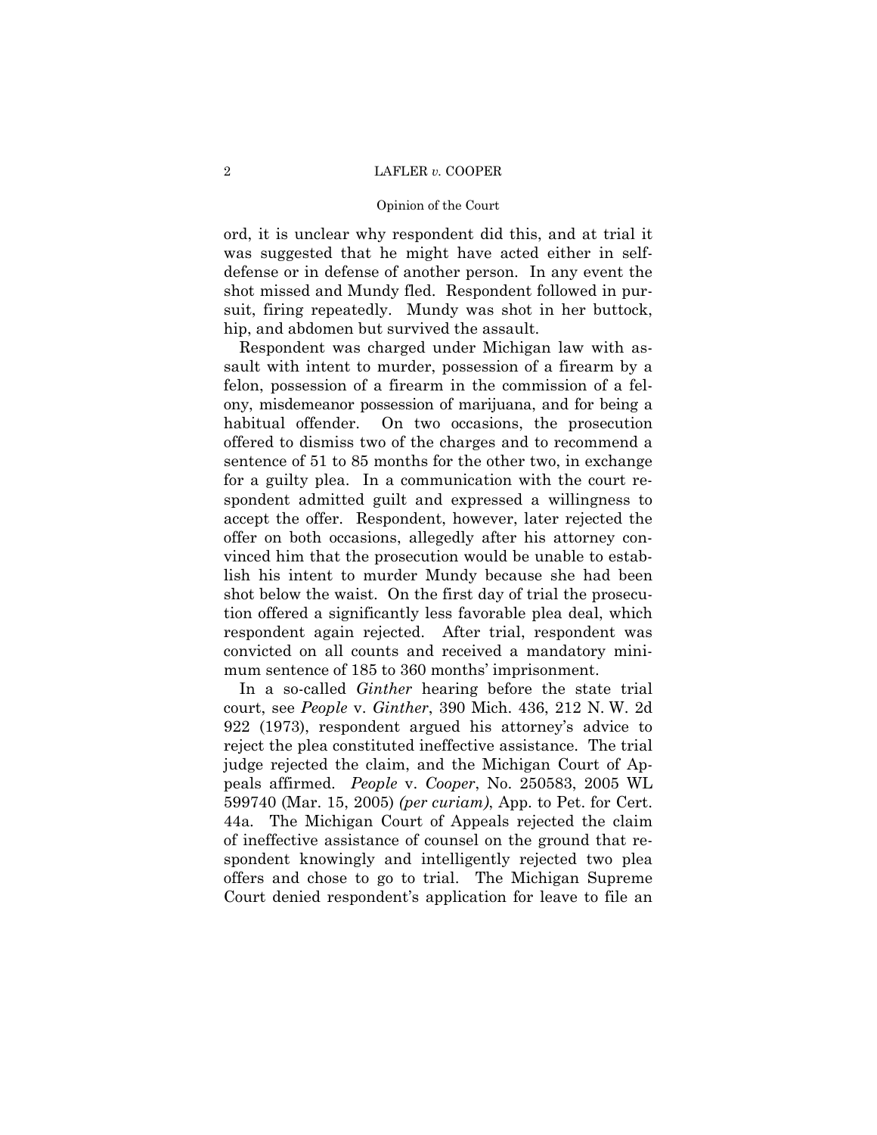#### Opinion of the Court

ord, it is unclear why respondent did this, and at trial it was suggested that he might have acted either in selfdefense or in defense of another person. In any event the shot missed and Mundy fled. Respondent followed in pursuit, firing repeatedly. Mundy was shot in her buttock, hip, and abdomen but survived the assault.

Respondent was charged under Michigan law with assault with intent to murder, possession of a firearm by a felon, possession of a firearm in the commission of a felony, misdemeanor possession of marijuana, and for being a habitual offender. On two occasions, the prosecution offered to dismiss two of the charges and to recommend a sentence of 51 to 85 months for the other two, in exchange for a guilty plea. In a communication with the court respondent admitted guilt and expressed a willingness to accept the offer. Respondent, however, later rejected the offer on both occasions, allegedly after his attorney convinced him that the prosecution would be unable to establish his intent to murder Mundy because she had been shot below the waist. On the first day of trial the prosecution offered a significantly less favorable plea deal, which respondent again rejected. After trial, respondent was convicted on all counts and received a mandatory minimum sentence of 185 to 360 months' imprisonment.

In a so-called *Ginther* hearing before the state trial court, see *People* v. *Ginther*, 390 Mich. 436, 212 N. W. 2d 922 (1973), respondent argued his attorney's advice to reject the plea constituted ineffective assistance. The trial judge rejected the claim, and the Michigan Court of Appeals affirmed. *People* v. *Cooper*, No. 250583, 2005 WL 599740 (Mar. 15, 2005) *(per curiam)*, App. to Pet. for Cert. 44a*.* The Michigan Court of Appeals rejected the claim of ineffective assistance of counsel on the ground that respondent knowingly and intelligently rejected two plea offers and chose to go to trial. The Michigan Supreme Court denied respondent's application for leave to file an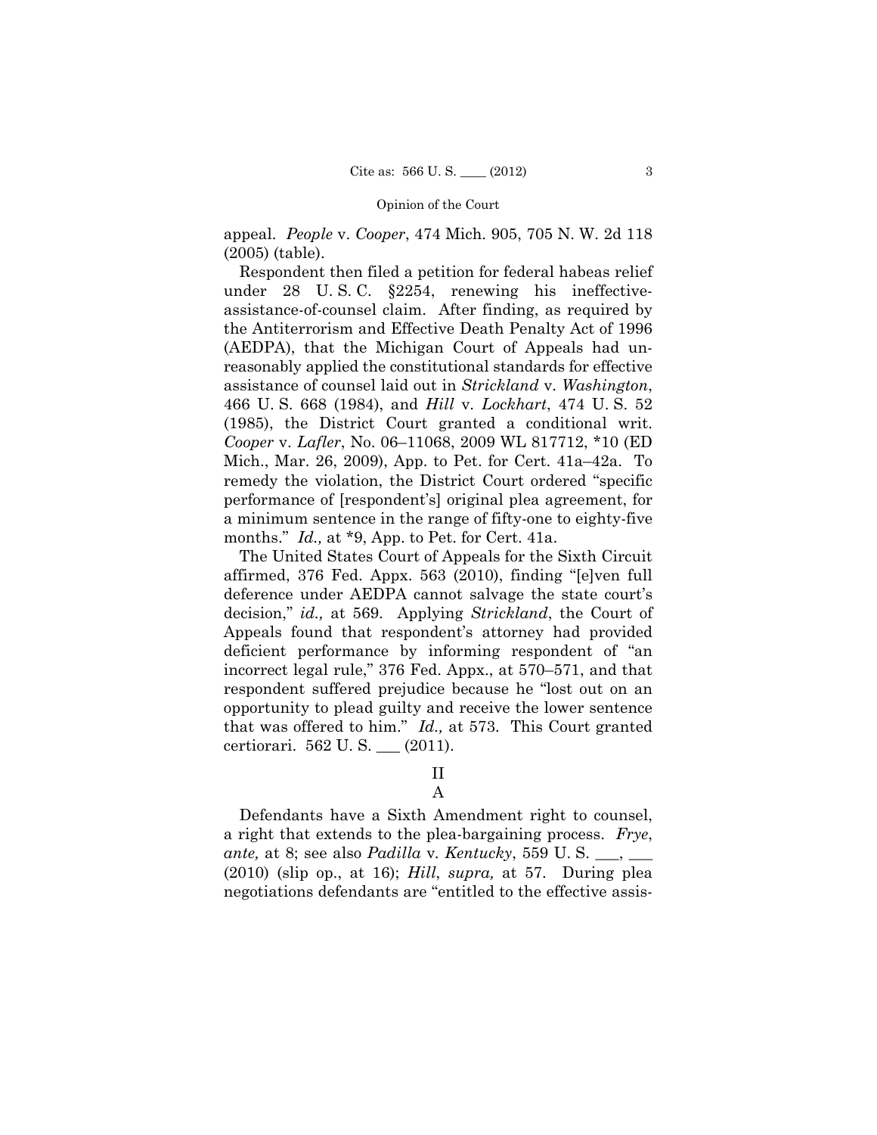appeal. *People* v. *Cooper*, 474 Mich. 905, 705 N. W. 2d 118 (2005) (table).

Respondent then filed a petition for federal habeas relief under 28 U.S.C. §2254, renewing his ineffectiveassistance-of-counsel claim. After finding, as required by the Antiterrorism and Effective Death Penalty Act of 1996 (AEDPA), that the Michigan Court of Appeals had unreasonably applied the constitutional standards for effective assistance of counsel laid out in *Strickland* v. *Washington*, 466 U. S. 668 (1984), and *Hill* v. *Lockhart*, 474 U. S. 52 (1985), the District Court granted a conditional writ. *Cooper* v. *Lafler*, No. 06–11068, 2009 WL 817712, \*10 (ED Mich., Mar. 26, 2009), App. to Pet. for Cert. 41a–42a. To remedy the violation, the District Court ordered "specific performance of [respondent's] original plea agreement, for a minimum sentence in the range of fifty-one to eighty-five months." *Id.,* at \*9, App. to Pet. for Cert. 41a.

The United States Court of Appeals for the Sixth Circuit affirmed, 376 Fed. Appx. 563 (2010), finding "[e]ven full deference under AEDPA cannot salvage the state court's decision," *id.,* at 569. Applying *Strickland*, the Court of Appeals found that respondent's attorney had provided deficient performance by informing respondent of "an incorrect legal rule," 376 Fed. Appx., at 570–571, and that respondent suffered prejudice because he "lost out on an opportunity to plead guilty and receive the lower sentence that was offered to him." *Id.,* at 573. This Court granted certiorari. 562 U. S. \_\_\_ (2011).

II

## A

 (2010) (slip op., at 16); *Hill*, *supra,* at 57. During plea Defendants have a Sixth Amendment right to counsel, a right that extends to the plea-bargaining process. *Frye*, *ante,* at 8; see also *Padilla* v*. Kentucky*, 559 U. S. \_\_\_, \_\_\_ negotiations defendants are "entitled to the effective assis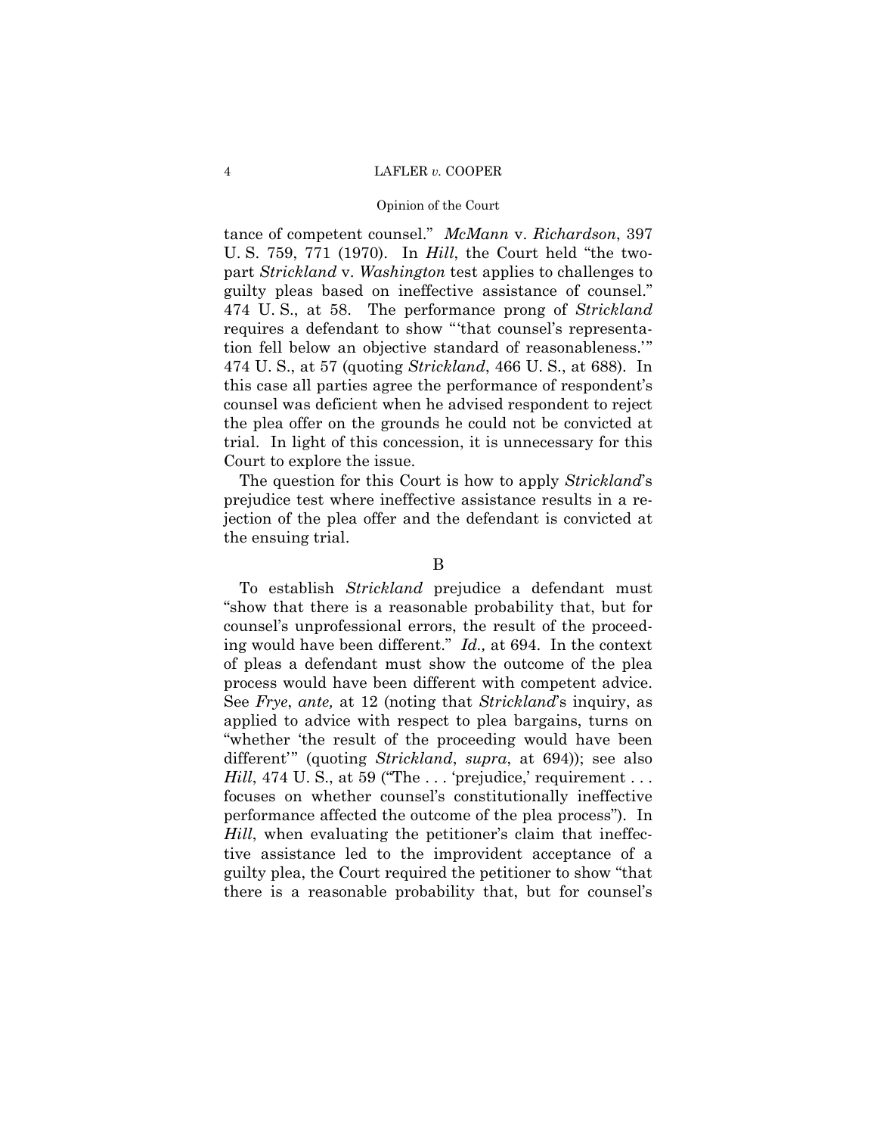## Opinion of the Court

tance of competent counsel." *McMann* v. *Richardson*, 397 U. S. 759, 771 (1970). In *Hill*, the Court held "the twopart *Strickland* v. *Washington* test applies to challenges to guilty pleas based on ineffective assistance of counsel." 474 U. S., at 58. The performance prong of *Strickland*  requires a defendant to show "'that counsel's representation fell below an objective standard of reasonableness.'" 474 U. S., at 57 (quoting *Strickland*, 466 U. S., at 688). In this case all parties agree the performance of respondent's counsel was deficient when he advised respondent to reject the plea offer on the grounds he could not be convicted at trial. In light of this concession, it is unnecessary for this Court to explore the issue.

The question for this Court is how to apply *Strickland*'s prejudice test where ineffective assistance results in a rejection of the plea offer and the defendant is convicted at the ensuing trial.

## B

 To establish *Strickland* prejudice a defendant must "show that there is a reasonable probability that, but for counsel's unprofessional errors, the result of the proceeding would have been different." *Id.,* at 694. In the context of pleas a defendant must show the outcome of the plea process would have been different with competent advice. See *Frye*, *ante,* at 12 (noting that *Strickland*'s inquiry, as applied to advice with respect to plea bargains, turns on "whether 'the result of the proceeding would have been different'" (quoting *Strickland*, *supra*, at 694)); see also *Hill*, 474 U.S., at 59 ("The ... 'prejudice,' requirement ... focuses on whether counsel's constitutionally ineffective performance affected the outcome of the plea process"). In *Hill*, when evaluating the petitioner's claim that ineffective assistance led to the improvident acceptance of a guilty plea, the Court required the petitioner to show "that there is a reasonable probability that, but for counsel's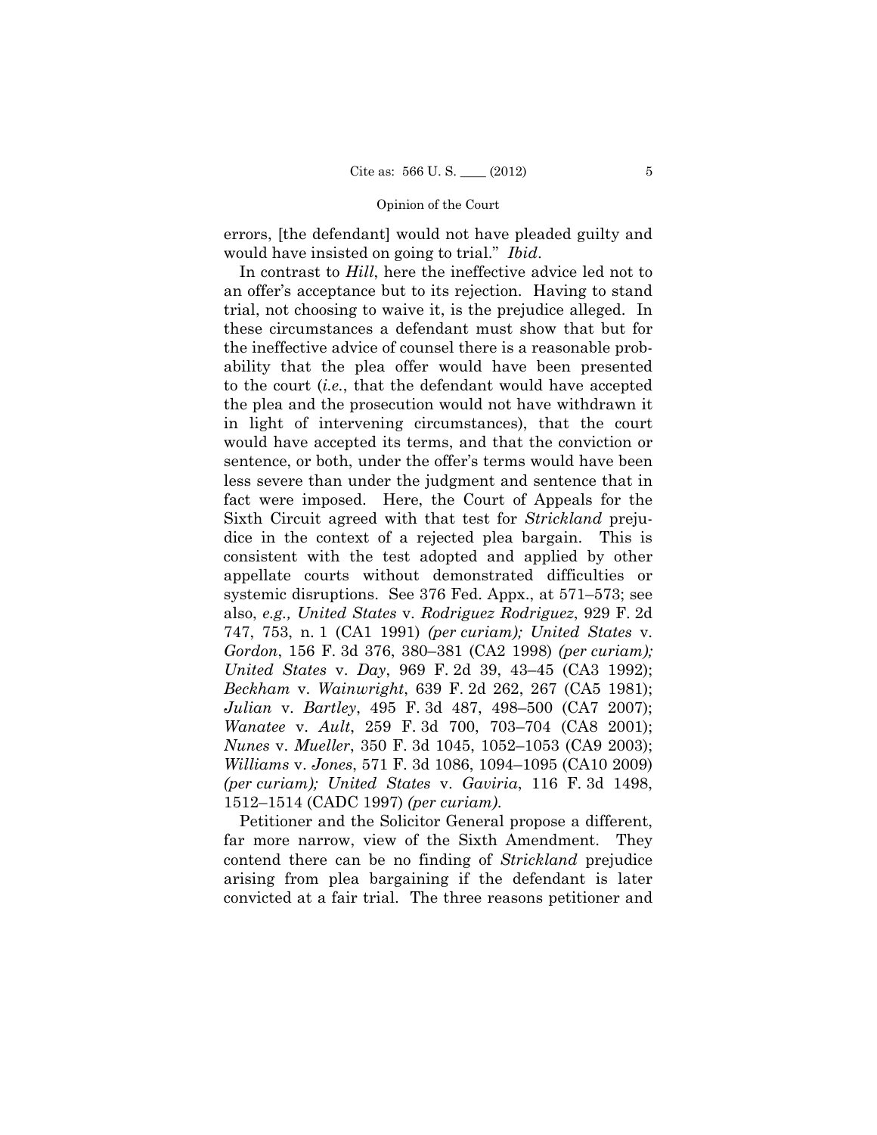errors, [the defendant] would not have pleaded guilty and would have insisted on going to trial." *Ibid*.

In contrast to *Hill*, here the ineffective advice led not to an offer's acceptance but to its rejection. Having to stand trial, not choosing to waive it, is the prejudice alleged. In these circumstances a defendant must show that but for the ineffective advice of counsel there is a reasonable probability that the plea offer would have been presented to the court (*i.e.*, that the defendant would have accepted the plea and the prosecution would not have withdrawn it in light of intervening circumstances), that the court would have accepted its terms, and that the conviction or sentence, or both, under the offer's terms would have been less severe than under the judgment and sentence that in fact were imposed. Here, the Court of Appeals for the Sixth Circuit agreed with that test for *Strickland* prejudice in the context of a rejected plea bargain. This is consistent with the test adopted and applied by other appellate courts without demonstrated difficulties or systemic disruptions. See 376 Fed. Appx., at 571–573; see also, *e.g., United States* v. *Rodriguez Rodriguez*, 929 F. 2d 747, 753, n. 1 (CA1 1991) *(per curiam); United States* v. *Gordon*, 156 F. 3d 376, 380–381 (CA2 1998) *(per curiam); United States* v. *Day*, 969 F. 2d 39, 43–45 (CA3 1992); *Beckham* v. *Wainwright*, 639 F. 2d 262, 267 (CA5 1981); *Julian* v. *Bartley*, 495 F. 3d 487, 498–500 (CA7 2007); *Wanatee* v. *Ault*, 259 F. 3d 700, 703–704 (CA8 2001); *Nunes* v. *Mueller*, 350 F. 3d 1045, 1052–1053 (CA9 2003); *Williams* v. *Jones*, 571 F. 3d 1086, 1094–1095 (CA10 2009) *(per curiam); United States* v. *Gaviria*, 116 F. 3d 1498, 1512–1514 (CADC 1997) *(per curiam)*.

Petitioner and the Solicitor General propose a different, far more narrow, view of the Sixth Amendment. They contend there can be no finding of *Strickland* prejudice arising from plea bargaining if the defendant is later convicted at a fair trial. The three reasons petitioner and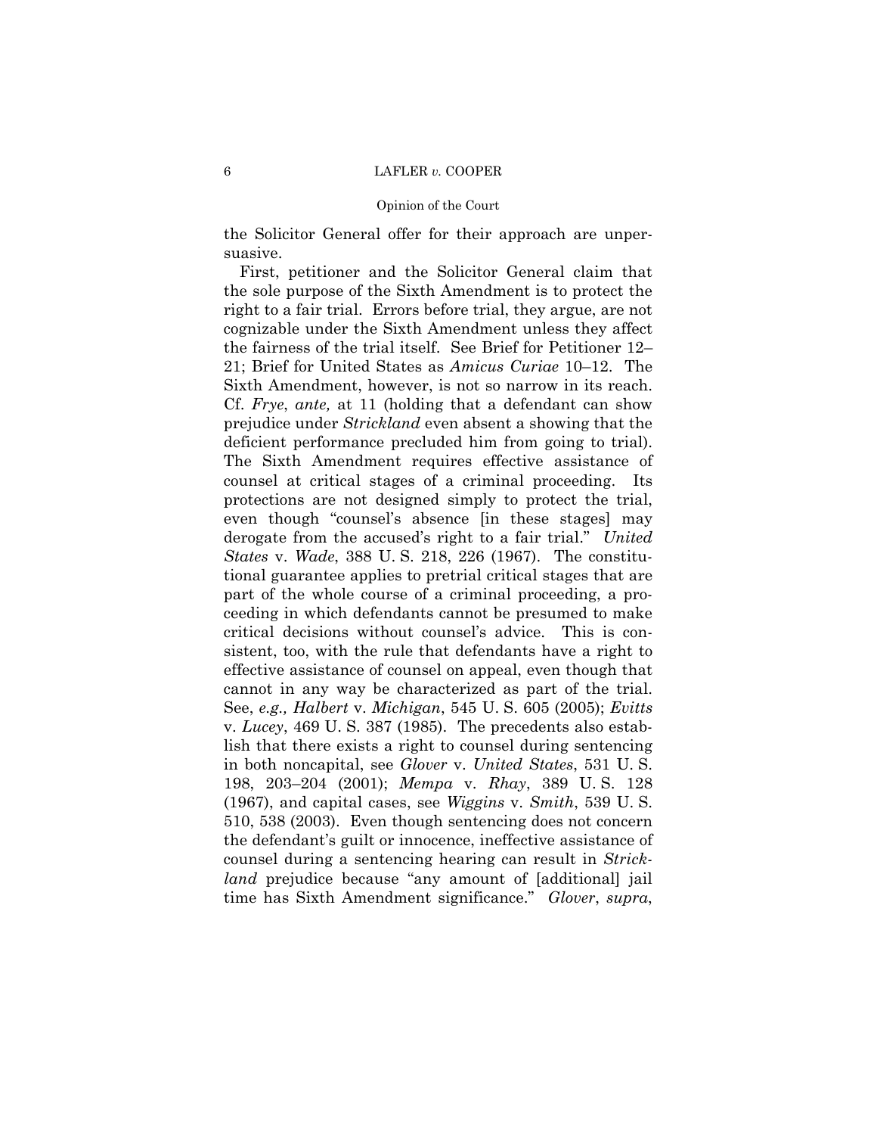#### Opinion of the Court

the Solicitor General offer for their approach are unpersuasive.

First, petitioner and the Solicitor General claim that the sole purpose of the Sixth Amendment is to protect the right to a fair trial. Errors before trial, they argue, are not cognizable under the Sixth Amendment unless they affect the fairness of the trial itself. See Brief for Petitioner 12– 21; Brief for United States as *Amicus Curiae* 10–12. The Sixth Amendment, however, is not so narrow in its reach. Cf. *Frye*, *ante,* at 11 (holding that a defendant can show prejudice under *Strickland* even absent a showing that the deficient performance precluded him from going to trial). The Sixth Amendment requires effective assistance of counsel at critical stages of a criminal proceeding. Its protections are not designed simply to protect the trial, even though "counsel's absence [in these stages] may derogate from the accused's right to a fair trial." *United States* v. *Wade*, 388 U. S. 218, 226 (1967). The constitutional guarantee applies to pretrial critical stages that are part of the whole course of a criminal proceeding, a proceeding in which defendants cannot be presumed to make critical decisions without counsel's advice. This is consistent, too, with the rule that defendants have a right to effective assistance of counsel on appeal, even though that cannot in any way be characterized as part of the trial. See, *e.g., Halbert* v. *Michigan*, 545 U. S. 605 (2005); *Evitts*  v. *Lucey*, 469 U. S. 387 (1985). The precedents also establish that there exists a right to counsel during sentencing in both noncapital, see *Glover* v. *United States*, 531 U. S. 198, 203–204 (2001); *Mempa* v. *Rhay*, 389 U. S. 128 (1967), and capital cases, see *Wiggins* v. *Smith*, 539 U. S. 510, 538 (2003). Even though sentencing does not concern the defendant's guilt or innocence, ineffective assistance of counsel during a sentencing hearing can result in *Strickland* prejudice because "any amount of [additional] jail time has Sixth Amendment significance." *Glover*, *supra*,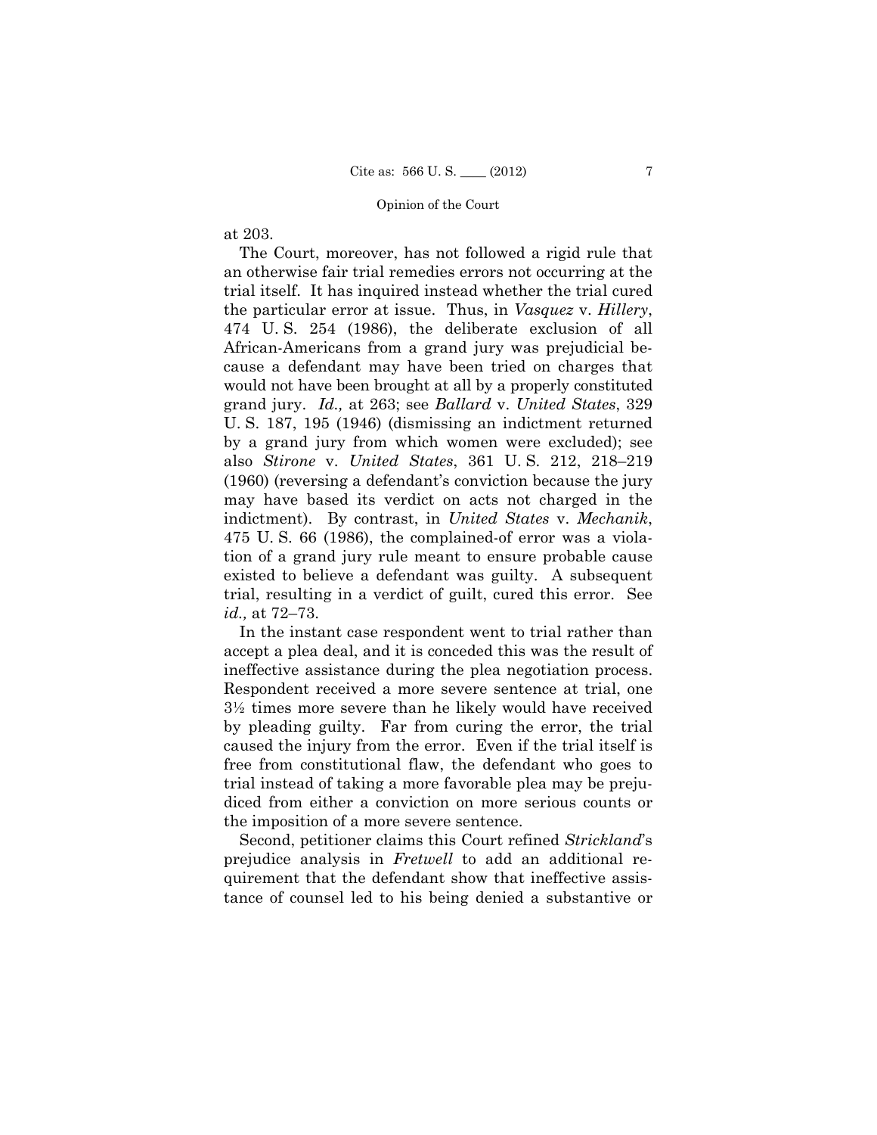at 203.

 grand jury. *Id.,* at 263; see *Ballard* v. *United States*, 329 The Court, moreover, has not followed a rigid rule that an otherwise fair trial remedies errors not occurring at the trial itself. It has inquired instead whether the trial cured the particular error at issue. Thus, in *Vasquez* v. *Hillery*, 474 U. S. 254 (1986), the deliberate exclusion of all African-Americans from a grand jury was prejudicial because a defendant may have been tried on charges that would not have been brought at all by a properly constituted U. S. 187, 195 (1946) (dismissing an indictment returned by a grand jury from which women were excluded); see also *Stirone* v. *United States*, 361 U. S. 212, 218–219 (1960) (reversing a defendant's conviction because the jury may have based its verdict on acts not charged in the indictment). By contrast, in *United States* v. *Mechanik*, 475 U. S. 66 (1986), the complained-of error was a violation of a grand jury rule meant to ensure probable cause existed to believe a defendant was guilty. A subsequent trial, resulting in a verdict of guilt, cured this error. See *id.,* at 72–73.

In the instant case respondent went to trial rather than accept a plea deal, and it is conceded this was the result of ineffective assistance during the plea negotiation process. Respondent received a more severe sentence at trial, one 3½ times more severe than he likely would have received by pleading guilty. Far from curing the error, the trial caused the injury from the error. Even if the trial itself is free from constitutional flaw, the defendant who goes to trial instead of taking a more favorable plea may be prejudiced from either a conviction on more serious counts or the imposition of a more severe sentence.

Second, petitioner claims this Court refined *Strickland*'s prejudice analysis in *Fretwell* to add an additional requirement that the defendant show that ineffective assistance of counsel led to his being denied a substantive or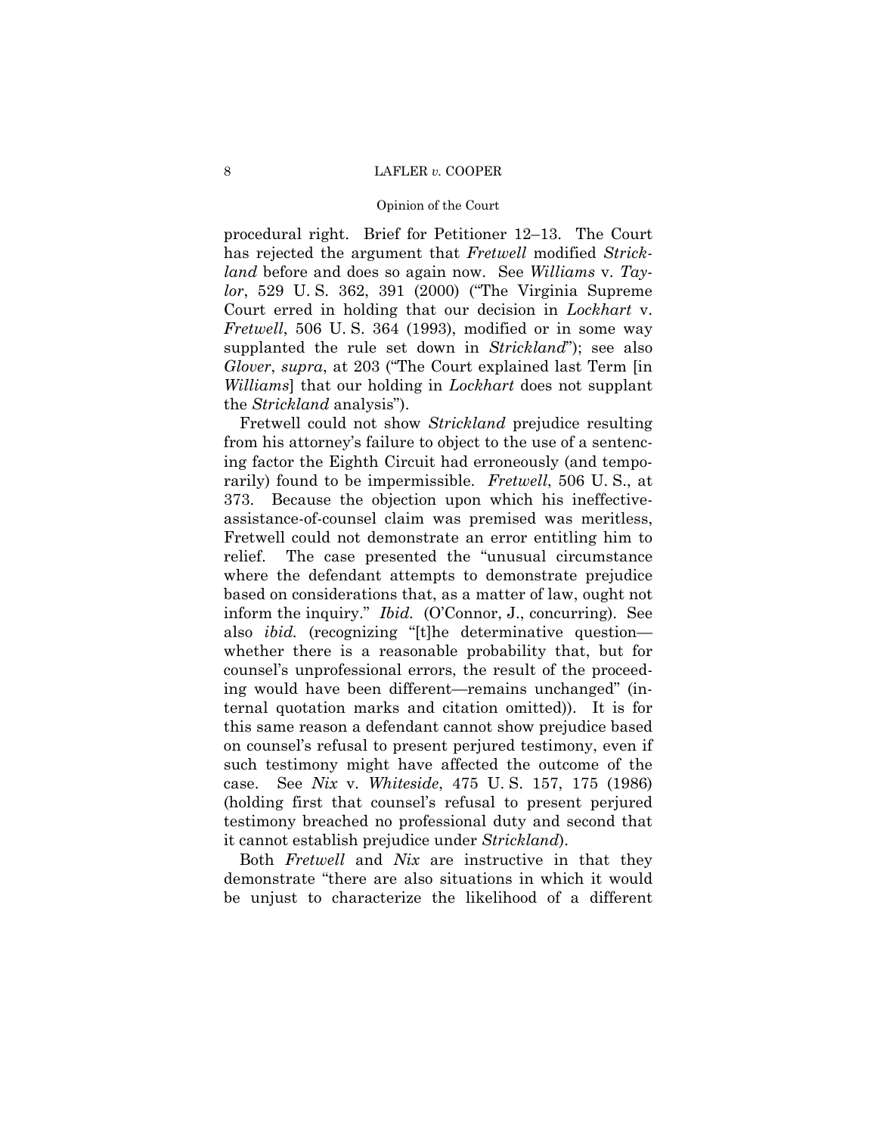#### Opinion of the Court

procedural right. Brief for Petitioner 12–13. The Court has rejected the argument that *Fretwell* modified *Strickland* before and does so again now. See *Williams* v. *Taylor*, 529 U. S. 362, 391 (2000) ("The Virginia Supreme Court erred in holding that our decision in *Lockhart* v. *Fretwell*, 506 U. S. 364 (1993), modified or in some way supplanted the rule set down in *Strickland*"); see also *Glover*, *supra*, at 203 ("The Court explained last Term [in *Williams*] that our holding in *Lockhart* does not supplant the *Strickland* analysis").

Fretwell could not show *Strickland* prejudice resulting from his attorney's failure to object to the use of a sentencing factor the Eighth Circuit had erroneously (and temporarily) found to be impermissible. *Fretwell*, 506 U. S., at 373. Because the objection upon which his ineffectiveassistance-of-counsel claim was premised was meritless, Fretwell could not demonstrate an error entitling him to relief. The case presented the "unusual circumstance where the defendant attempts to demonstrate prejudice based on considerations that, as a matter of law, ought not inform the inquiry." *Ibid.* (O'Connor, J., concurring). See also *ibid.* (recognizing "[t]he determinative question whether there is a reasonable probability that, but for counsel's unprofessional errors, the result of the proceeding would have been different—remains unchanged" (internal quotation marks and citation omitted)). It is for this same reason a defendant cannot show prejudice based on counsel's refusal to present perjured testimony, even if such testimony might have affected the outcome of the case. See *Nix* v. *Whiteside*, 475 U. S. 157, 175 (1986) (holding first that counsel's refusal to present perjured testimony breached no professional duty and second that it cannot establish prejudice under *Strickland*).

Both *Fretwell* and *Nix* are instructive in that they demonstrate "there are also situations in which it would be unjust to characterize the likelihood of a different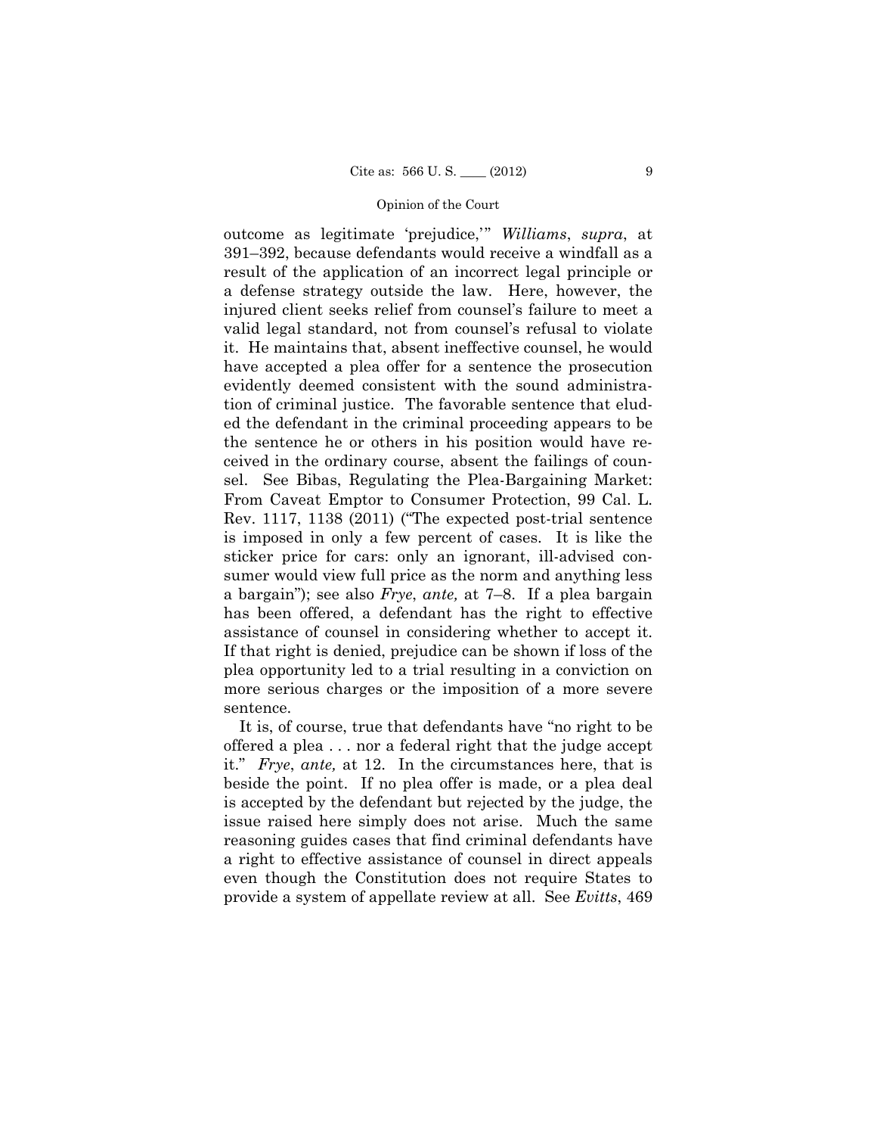is imposed in only a few percent of cases. It is like the outcome as legitimate 'prejudice,'" *Williams*, *supra*, at 391–392, because defendants would receive a windfall as a result of the application of an incorrect legal principle or a defense strategy outside the law. Here, however, the injured client seeks relief from counsel's failure to meet a valid legal standard, not from counsel's refusal to violate it. He maintains that, absent ineffective counsel, he would have accepted a plea offer for a sentence the prosecution evidently deemed consistent with the sound administration of criminal justice. The favorable sentence that eluded the defendant in the criminal proceeding appears to be the sentence he or others in his position would have received in the ordinary course, absent the failings of counsel. See Bibas, Regulating the Plea-Bargaining Market: From Caveat Emptor to Consumer Protection, 99 Cal. L. Rev. 1117, 1138 (2011) ("The expected post-trial sentence sticker price for cars: only an ignorant, ill-advised consumer would view full price as the norm and anything less a bargain"); see also *Frye*, *ante,* at 7–8. If a plea bargain has been offered, a defendant has the right to effective assistance of counsel in considering whether to accept it. If that right is denied, prejudice can be shown if loss of the plea opportunity led to a trial resulting in a conviction on more serious charges or the imposition of a more severe sentence.

It is, of course, true that defendants have "no right to be offered a plea . . . nor a federal right that the judge accept it." *Frye*, *ante,* at 12. In the circumstances here, that is beside the point. If no plea offer is made, or a plea deal is accepted by the defendant but rejected by the judge, the issue raised here simply does not arise. Much the same reasoning guides cases that find criminal defendants have a right to effective assistance of counsel in direct appeals even though the Constitution does not require States to provide a system of appellate review at all. See *Evitts*, 469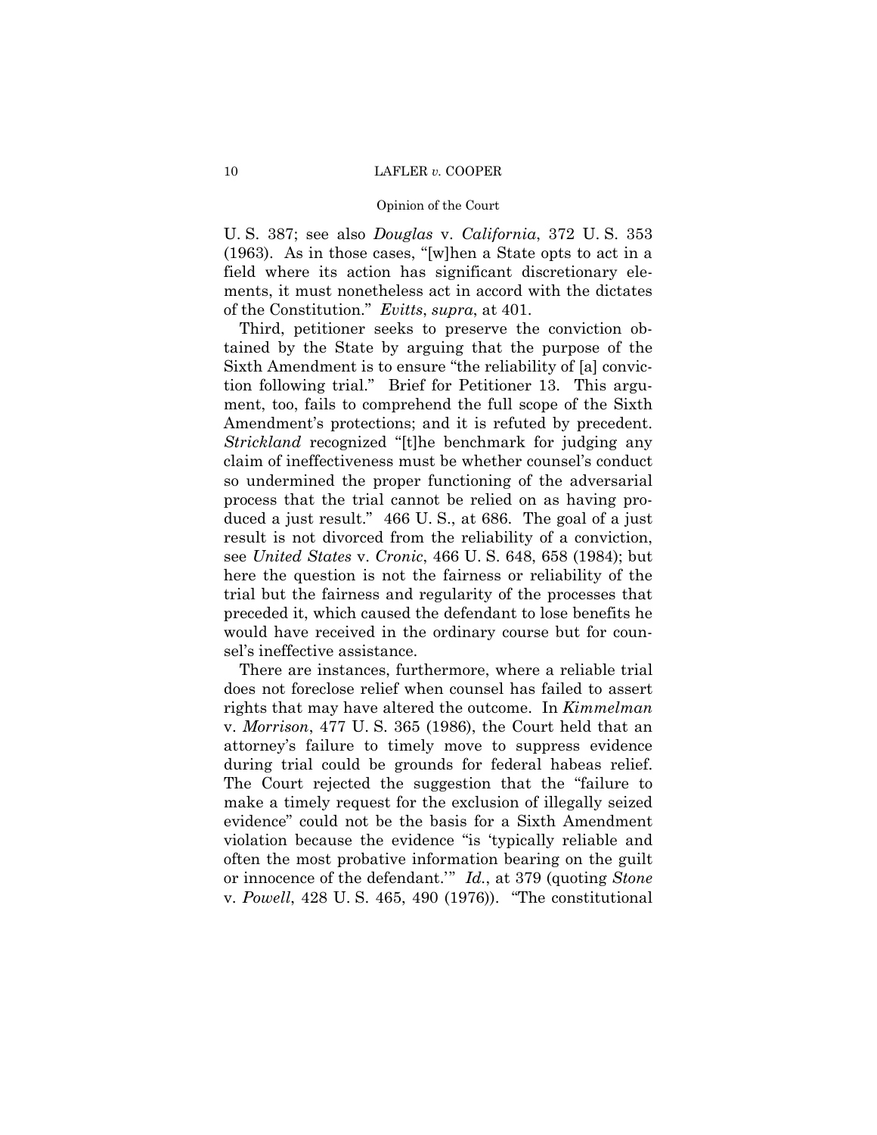#### Opinion of the Court

U. S. 387; see also *Douglas* v. *California*, 372 U. S. 353 (1963). As in those cases, "[w]hen a State opts to act in a field where its action has significant discretionary elements, it must nonetheless act in accord with the dictates of the Constitution." *Evitts*, *supra*, at 401.

Third, petitioner seeks to preserve the conviction obtained by the State by arguing that the purpose of the Sixth Amendment is to ensure "the reliability of [a] conviction following trial." Brief for Petitioner 13. This argument, too, fails to comprehend the full scope of the Sixth Amendment's protections; and it is refuted by precedent. *Strickland* recognized "[t]he benchmark for judging any claim of ineffectiveness must be whether counsel's conduct so undermined the proper functioning of the adversarial process that the trial cannot be relied on as having produced a just result." 466 U. S., at 686. The goal of a just result is not divorced from the reliability of a conviction, see *United States* v. *Cronic*, 466 U. S. 648, 658 (1984); but here the question is not the fairness or reliability of the trial but the fairness and regularity of the processes that preceded it, which caused the defendant to lose benefits he would have received in the ordinary course but for counsel's ineffective assistance.

 during trial could be grounds for federal habeas relief. There are instances, furthermore, where a reliable trial does not foreclose relief when counsel has failed to assert rights that may have altered the outcome. In *Kimmelman*  v. *Morrison*, 477 U. S. 365 (1986), the Court held that an attorney's failure to timely move to suppress evidence The Court rejected the suggestion that the "failure to make a timely request for the exclusion of illegally seized evidence" could not be the basis for a Sixth Amendment violation because the evidence "is 'typically reliable and often the most probative information bearing on the guilt or innocence of the defendant.'" *Id.*, at 379 (quoting *Stone*  v. *Powell*, 428 U. S. 465, 490 (1976)). "The constitutional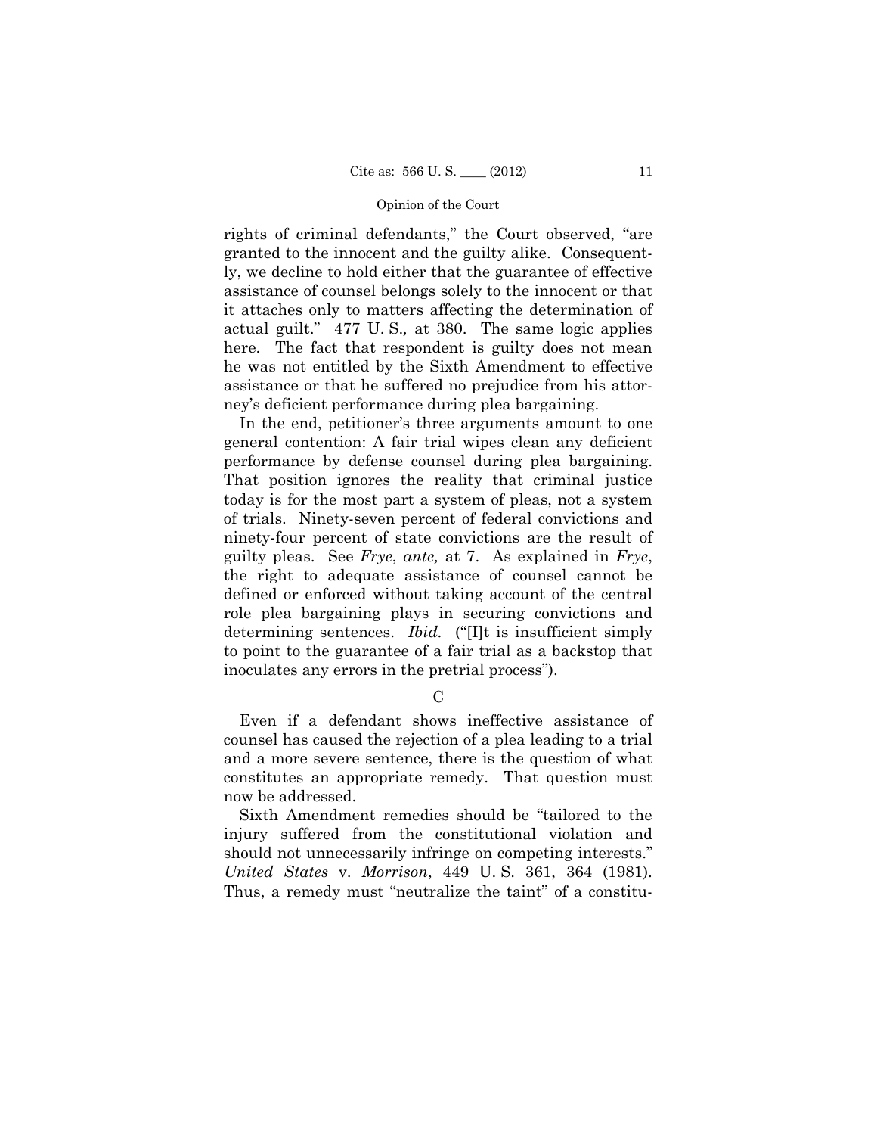rights of criminal defendants," the Court observed, "are granted to the innocent and the guilty alike. Consequently, we decline to hold either that the guarantee of effective assistance of counsel belongs solely to the innocent or that it attaches only to matters affecting the determination of actual guilt." 477 U. S.*,* at 380. The same logic applies here. The fact that respondent is guilty does not mean he was not entitled by the Sixth Amendment to effective assistance or that he suffered no prejudice from his attorney's deficient performance during plea bargaining.

In the end, petitioner's three arguments amount to one general contention: A fair trial wipes clean any deficient performance by defense counsel during plea bargaining. That position ignores the reality that criminal justice today is for the most part a system of pleas, not a system of trials. Ninety-seven percent of federal convictions and ninety-four percent of state convictions are the result of guilty pleas. See *Frye*, *ante,* at 7. As explained in *Frye*, the right to adequate assistance of counsel cannot be defined or enforced without taking account of the central role plea bargaining plays in securing convictions and determining sentences. *Ibid.* ("[I]t is insufficient simply to point to the guarantee of a fair trial as a backstop that inoculates any errors in the pretrial process").

 $\mathcal{C}$ 

Even if a defendant shows ineffective assistance of counsel has caused the rejection of a plea leading to a trial and a more severe sentence, there is the question of what constitutes an appropriate remedy. That question must now be addressed.

Sixth Amendment remedies should be "tailored to the injury suffered from the constitutional violation and should not unnecessarily infringe on competing interests." *United States* v. *Morrison*, 449 U. S. 361, 364 (1981). Thus, a remedy must "neutralize the taint" of a constitu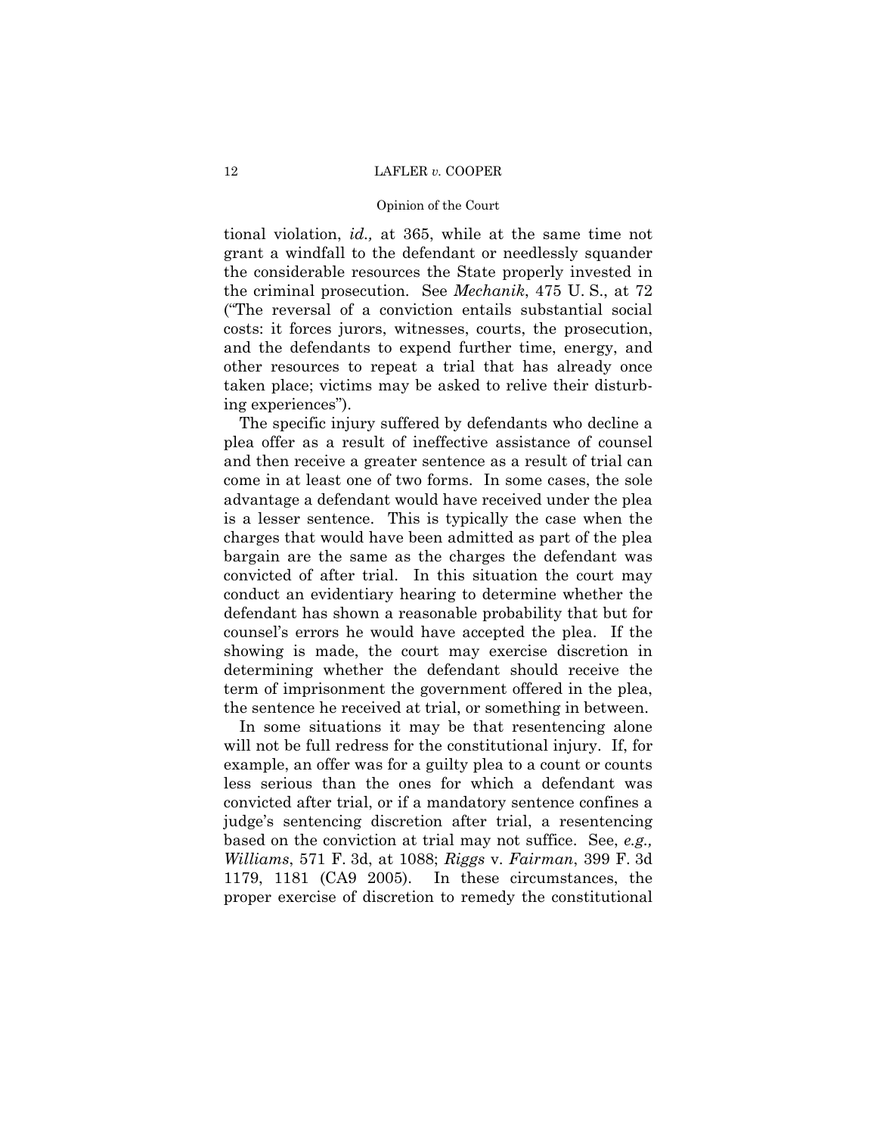#### Opinion of the Court

tional violation, *id.,* at 365, while at the same time not grant a windfall to the defendant or needlessly squander the considerable resources the State properly invested in the criminal prosecution. See *Mechanik*, 475 U. S., at 72 ("The reversal of a conviction entails substantial social costs: it forces jurors, witnesses, courts, the prosecution, and the defendants to expend further time, energy, and other resources to repeat a trial that has already once taken place; victims may be asked to relive their disturbing experiences").

The specific injury suffered by defendants who decline a plea offer as a result of ineffective assistance of counsel and then receive a greater sentence as a result of trial can come in at least one of two forms. In some cases, the sole advantage a defendant would have received under the plea is a lesser sentence. This is typically the case when the charges that would have been admitted as part of the plea bargain are the same as the charges the defendant was convicted of after trial. In this situation the court may conduct an evidentiary hearing to determine whether the defendant has shown a reasonable probability that but for counsel's errors he would have accepted the plea. If the showing is made, the court may exercise discretion in determining whether the defendant should receive the term of imprisonment the government offered in the plea, the sentence he received at trial, or something in between.

In some situations it may be that resentencing alone will not be full redress for the constitutional injury. If, for example, an offer was for a guilty plea to a count or counts less serious than the ones for which a defendant was convicted after trial, or if a mandatory sentence confines a judge's sentencing discretion after trial, a resentencing based on the conviction at trial may not suffice. See, *e.g., Williams*, 571 F. 3d, at 1088; *Riggs* v. *Fairman*, 399 F. 3d 1179, 1181 (CA9 2005). In these circumstances, the proper exercise of discretion to remedy the constitutional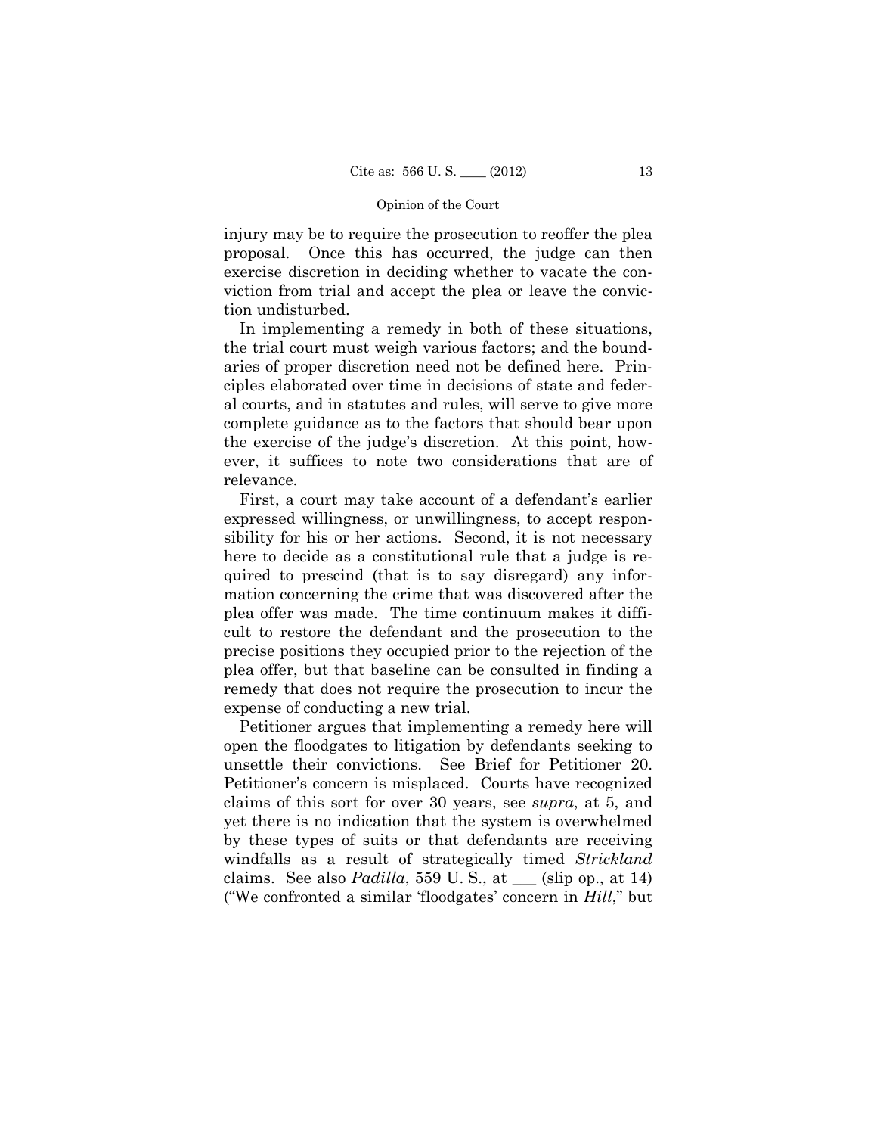injury may be to require the prosecution to reoffer the plea proposal. Once this has occurred, the judge can then exercise discretion in deciding whether to vacate the conviction from trial and accept the plea or leave the conviction undisturbed.

In implementing a remedy in both of these situations, the trial court must weigh various factors; and the boundaries of proper discretion need not be defined here. Principles elaborated over time in decisions of state and federal courts, and in statutes and rules, will serve to give more complete guidance as to the factors that should bear upon the exercise of the judge's discretion. At this point, however, it suffices to note two considerations that are of relevance.

First, a court may take account of a defendant's earlier expressed willingness, or unwillingness, to accept responsibility for his or her actions. Second, it is not necessary here to decide as a constitutional rule that a judge is required to prescind (that is to say disregard) any information concerning the crime that was discovered after the plea offer was made. The time continuum makes it difficult to restore the defendant and the prosecution to the precise positions they occupied prior to the rejection of the plea offer, but that baseline can be consulted in finding a remedy that does not require the prosecution to incur the expense of conducting a new trial.

Petitioner argues that implementing a remedy here will open the floodgates to litigation by defendants seeking to unsettle their convictions. See Brief for Petitioner 20. Petitioner's concern is misplaced. Courts have recognized claims of this sort for over 30 years, see *supra*, at 5, and yet there is no indication that the system is overwhelmed by these types of suits or that defendants are receiving windfalls as a result of strategically timed *Strickland*  claims. See also *Padilla*, 559 U.S., at  $\_\_\$  (slip op., at 14) ("We confronted a similar 'floodgates' concern in *Hill*," but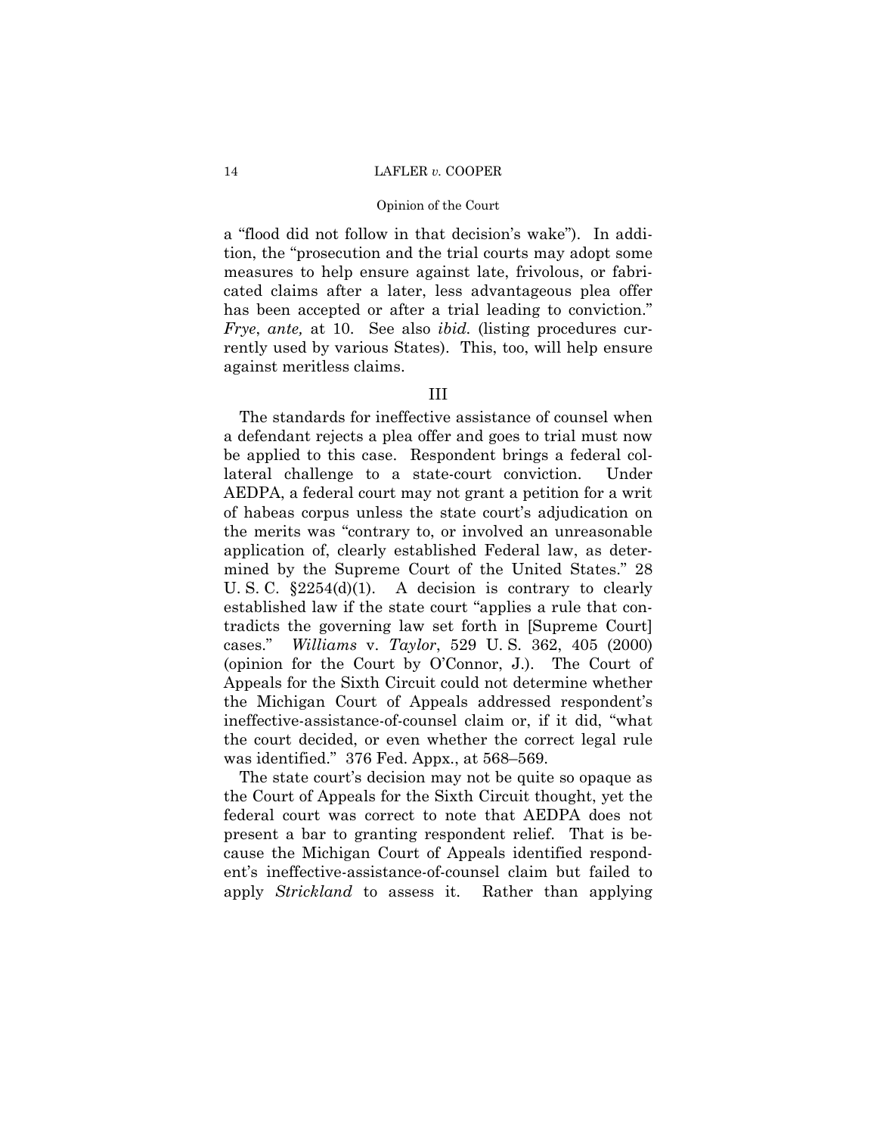#### Opinion of the Court

a "flood did not follow in that decision's wake"). In addition, the "prosecution and the trial courts may adopt some measures to help ensure against late, frivolous, or fabricated claims after a later, less advantageous plea offer has been accepted or after a trial leading to conviction." *Frye*, *ante,* at 10. See also *ibid.* (listing procedures currently used by various States). This, too, will help ensure against meritless claims.

## III

The standards for ineffective assistance of counsel when a defendant rejects a plea offer and goes to trial must now be applied to this case. Respondent brings a federal collateral challenge to a state-court conviction. Under AEDPA, a federal court may not grant a petition for a writ of habeas corpus unless the state court's adjudication on the merits was "contrary to, or involved an unreasonable application of, clearly established Federal law, as determined by the Supreme Court of the United States." 28 U. S. C. §2254(d)(1). A decision is contrary to clearly established law if the state court "applies a rule that contradicts the governing law set forth in [Supreme Court] cases." *Williams* v. *Taylor*, 529 U. S. 362, 405 (2000) (opinion for the Court by O'Connor, J.). The Court of Appeals for the Sixth Circuit could not determine whether the Michigan Court of Appeals addressed respondent's ineffective-assistance-of-counsel claim or, if it did, "what the court decided, or even whether the correct legal rule was identified." 376 Fed. Appx., at 568–569.

 present a bar to granting respondent relief. That is be-The state court's decision may not be quite so opaque as the Court of Appeals for the Sixth Circuit thought, yet the federal court was correct to note that AEDPA does not cause the Michigan Court of Appeals identified respondent's ineffective-assistance-of-counsel claim but failed to apply *Strickland* to assess it. Rather than applying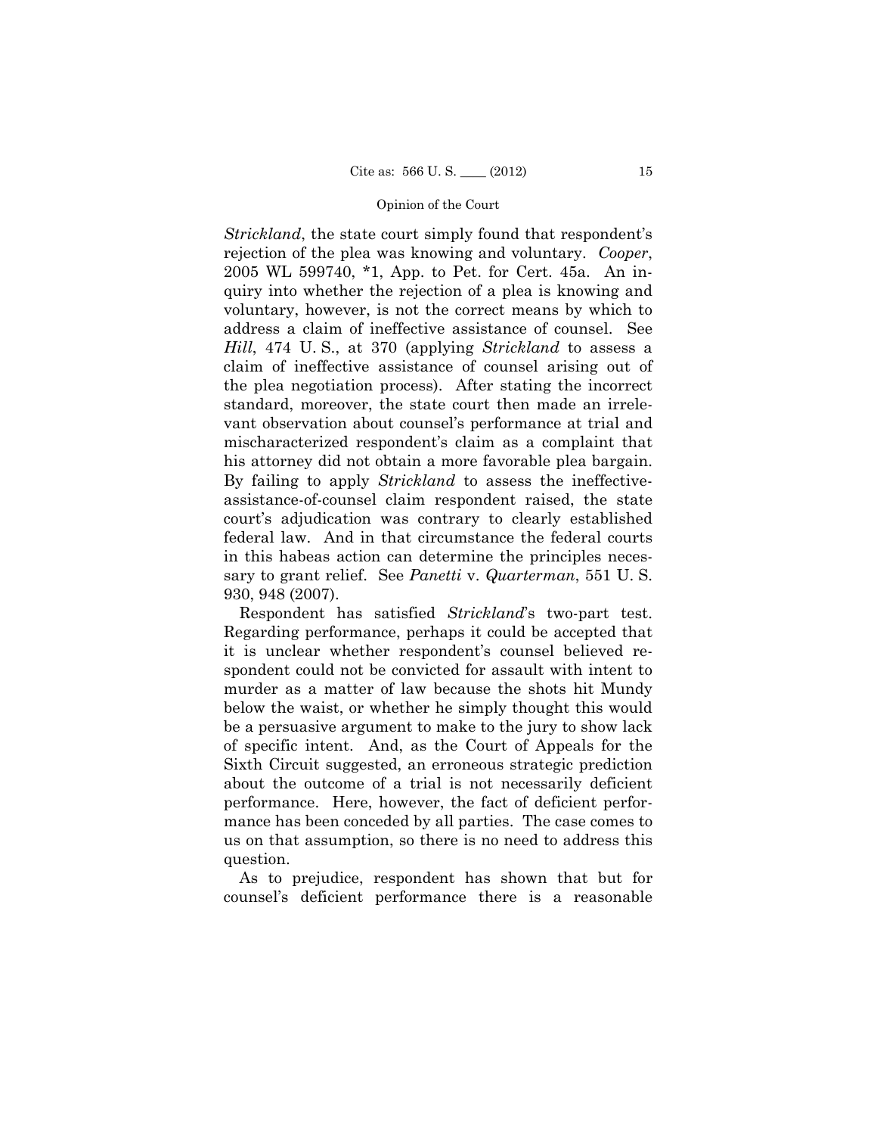*Strickland*, the state court simply found that respondent's rejection of the plea was knowing and voluntary. *Cooper*, 2005 WL 599740, \*1, App. to Pet. for Cert. 45a. An inquiry into whether the rejection of a plea is knowing and voluntary, however, is not the correct means by which to address a claim of ineffective assistance of counsel. See *Hill*, 474 U. S., at 370 (applying *Strickland* to assess a claim of ineffective assistance of counsel arising out of the plea negotiation process). After stating the incorrect standard, moreover, the state court then made an irrelevant observation about counsel's performance at trial and mischaracterized respondent's claim as a complaint that his attorney did not obtain a more favorable plea bargain. By failing to apply *Strickland* to assess the ineffectiveassistance-of-counsel claim respondent raised, the state court's adjudication was contrary to clearly established federal law. And in that circumstance the federal courts in this habeas action can determine the principles necessary to grant relief. See *Panetti* v. *Quarterman*, 551 U. S. 930, 948 (2007).

 Respondent has satisfied *Strickland*'s two-part test. Regarding performance, perhaps it could be accepted that it is unclear whether respondent's counsel believed respondent could not be convicted for assault with intent to murder as a matter of law because the shots hit Mundy below the waist, or whether he simply thought this would be a persuasive argument to make to the jury to show lack of specific intent. And, as the Court of Appeals for the Sixth Circuit suggested, an erroneous strategic prediction about the outcome of a trial is not necessarily deficient performance. Here, however, the fact of deficient performance has been conceded by all parties. The case comes to us on that assumption, so there is no need to address this question.

As to prejudice, respondent has shown that but for counsel's deficient performance there is a reasonable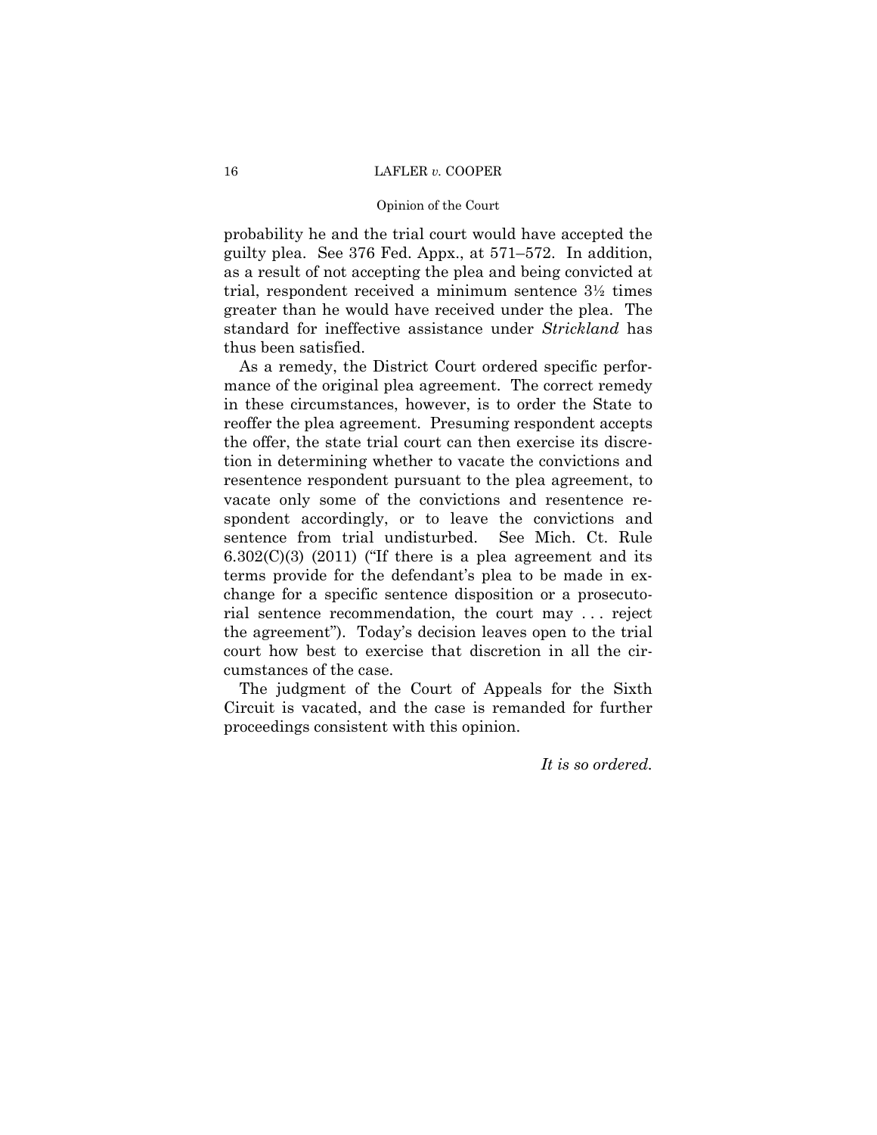#### Opinion of the Court

probability he and the trial court would have accepted the guilty plea. See 376 Fed. Appx., at 571–572. In addition, as a result of not accepting the plea and being convicted at trial, respondent received a minimum sentence 3½ times greater than he would have received under the plea. The standard for ineffective assistance under *Strickland* has thus been satisfied.

As a remedy, the District Court ordered specific performance of the original plea agreement. The correct remedy in these circumstances, however, is to order the State to reoffer the plea agreement. Presuming respondent accepts the offer, the state trial court can then exercise its discretion in determining whether to vacate the convictions and resentence respondent pursuant to the plea agreement, to vacate only some of the convictions and resentence respondent accordingly, or to leave the convictions and sentence from trial undisturbed. See Mich. Ct. Rule  $6.302(C)(3)$  (2011) ("If there is a plea agreement and its terms provide for the defendant's plea to be made in exchange for a specific sentence disposition or a prosecutorial sentence recommendation, the court may . . . reject the agreement"). Today's decision leaves open to the trial court how best to exercise that discretion in all the circumstances of the case.

The judgment of the Court of Appeals for the Sixth Circuit is vacated, and the case is remanded for further proceedings consistent with this opinion.

*It is so ordered.*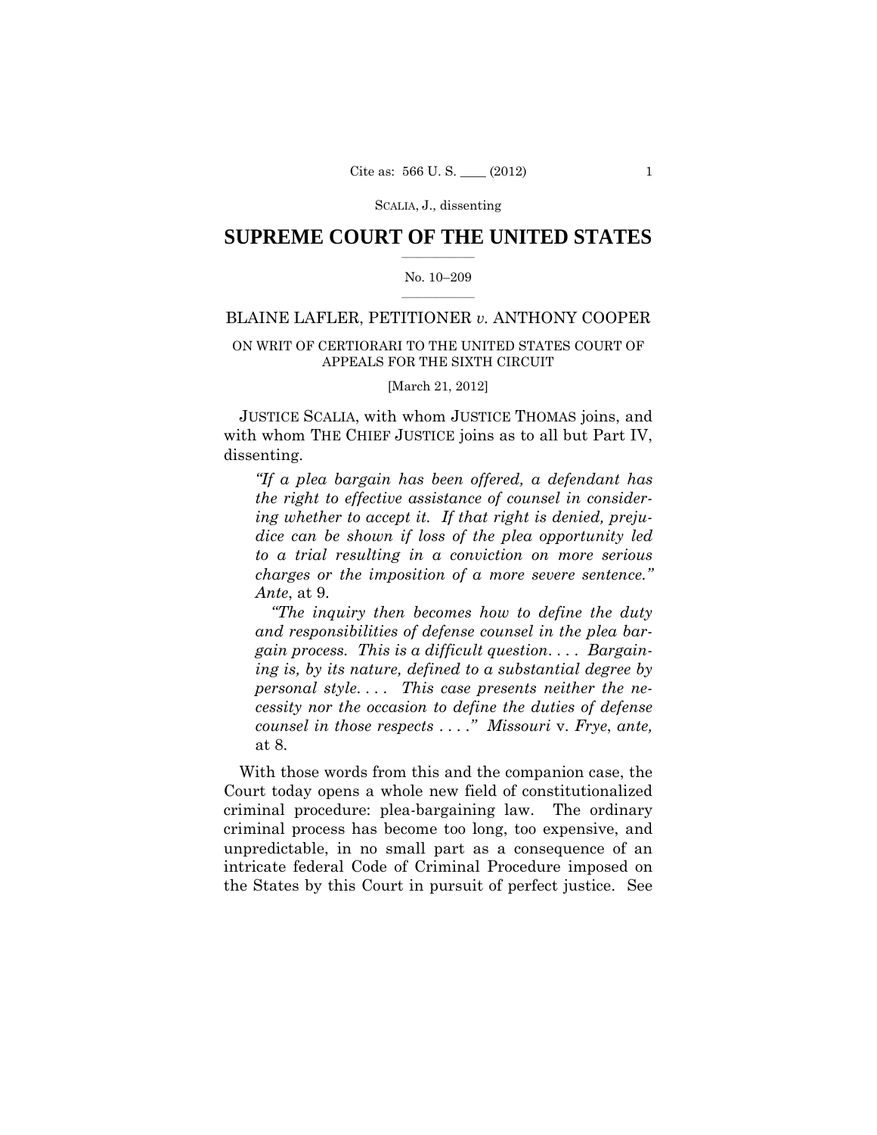## $\frac{1}{2}$  ,  $\frac{1}{2}$  ,  $\frac{1}{2}$  ,  $\frac{1}{2}$  ,  $\frac{1}{2}$  ,  $\frac{1}{2}$  ,  $\frac{1}{2}$ **SUPREME COURT OF THE UNITED STATES**

### $\frac{1}{2}$  ,  $\frac{1}{2}$  ,  $\frac{1}{2}$  ,  $\frac{1}{2}$  ,  $\frac{1}{2}$  ,  $\frac{1}{2}$ No. 10–209

## BLAINE LAFLER, PETITIONER *v.* ANTHONY COOPER

## ON WRIT OF CERTIORARI TO THE UNITED STATES COURT OF APPEALS FOR THE SIXTH CIRCUIT

[March 21, 2012]

JUSTICE SCALIA, with whom JUSTICE THOMAS joins, and with whom THE CHIEF JUSTICE joins as to all but Part IV, dissenting.

 *charges or the imposition of a more severe sentence." Ante*, at 9. *"If a plea bargain has been offered, a defendant has the right to effective assistance of counsel in considering whether to accept it. If that right is denied, prejudice can be shown if loss of the plea opportunity led to a trial resulting in a conviction on more serious* 

 *counsel in those respects* . . . .*" Missouri* v. *Frye*, *ante, "The inquiry then becomes how to define the duty and responsibilities of defense counsel in the plea bargain process. This is a difficult question*. . . . *Bargaining is, by its nature, defined to a substantial degree by personal style*. . . . *This case presents neither the necessity nor the occasion to define the duties of defense*  at 8.

With those words from this and the companion case, the Court today opens a whole new field of constitutionalized criminal procedure: plea-bargaining law. The ordinary criminal process has become too long, too expensive, and unpredictable, in no small part as a consequence of an intricate federal Code of Criminal Procedure imposed on the States by this Court in pursuit of perfect justice. See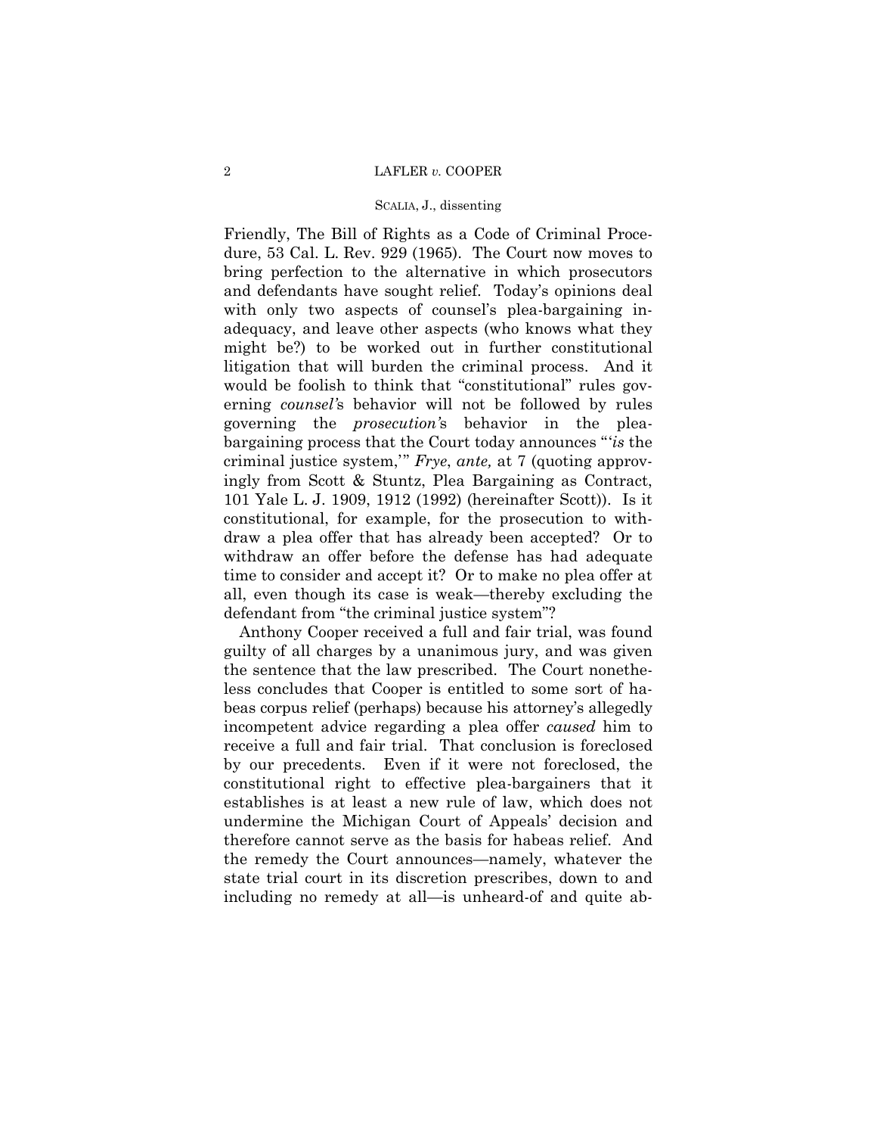#### SCALIA, J., dissenting

 time to consider and accept it? Or to make no plea offer at Friendly, The Bill of Rights as a Code of Criminal Procedure, 53 Cal. L. Rev. 929 (1965). The Court now moves to bring perfection to the alternative in which prosecutors and defendants have sought relief. Today's opinions deal with only two aspects of counsel's plea-bargaining inadequacy, and leave other aspects (who knows what they might be?) to be worked out in further constitutional litigation that will burden the criminal process. And it would be foolish to think that "constitutional" rules governing *counsel'*s behavior will not be followed by rules governing the *prosecution'*s behavior in the pleabargaining process that the Court today announces "'*is* the criminal justice system,'" *Frye*, *ante,* at 7 (quoting approvingly from Scott & Stuntz, Plea Bargaining as Contract, 101 Yale L. J. 1909, 1912 (1992) (hereinafter Scott)). Is it constitutional, for example, for the prosecution to withdraw a plea offer that has already been accepted? Or to withdraw an offer before the defense has had adequate all, even though its case is weak—thereby excluding the defendant from "the criminal justice system"?

Anthony Cooper received a full and fair trial, was found guilty of all charges by a unanimous jury, and was given the sentence that the law prescribed. The Court nonetheless concludes that Cooper is entitled to some sort of habeas corpus relief (perhaps) because his attorney's allegedly incompetent advice regarding a plea offer *caused* him to receive a full and fair trial. That conclusion is foreclosed by our precedents. Even if it were not foreclosed, the constitutional right to effective plea-bargainers that it establishes is at least a new rule of law, which does not undermine the Michigan Court of Appeals' decision and therefore cannot serve as the basis for habeas relief. And the remedy the Court announces—namely, whatever the state trial court in its discretion prescribes, down to and including no remedy at all—is unheard-of and quite ab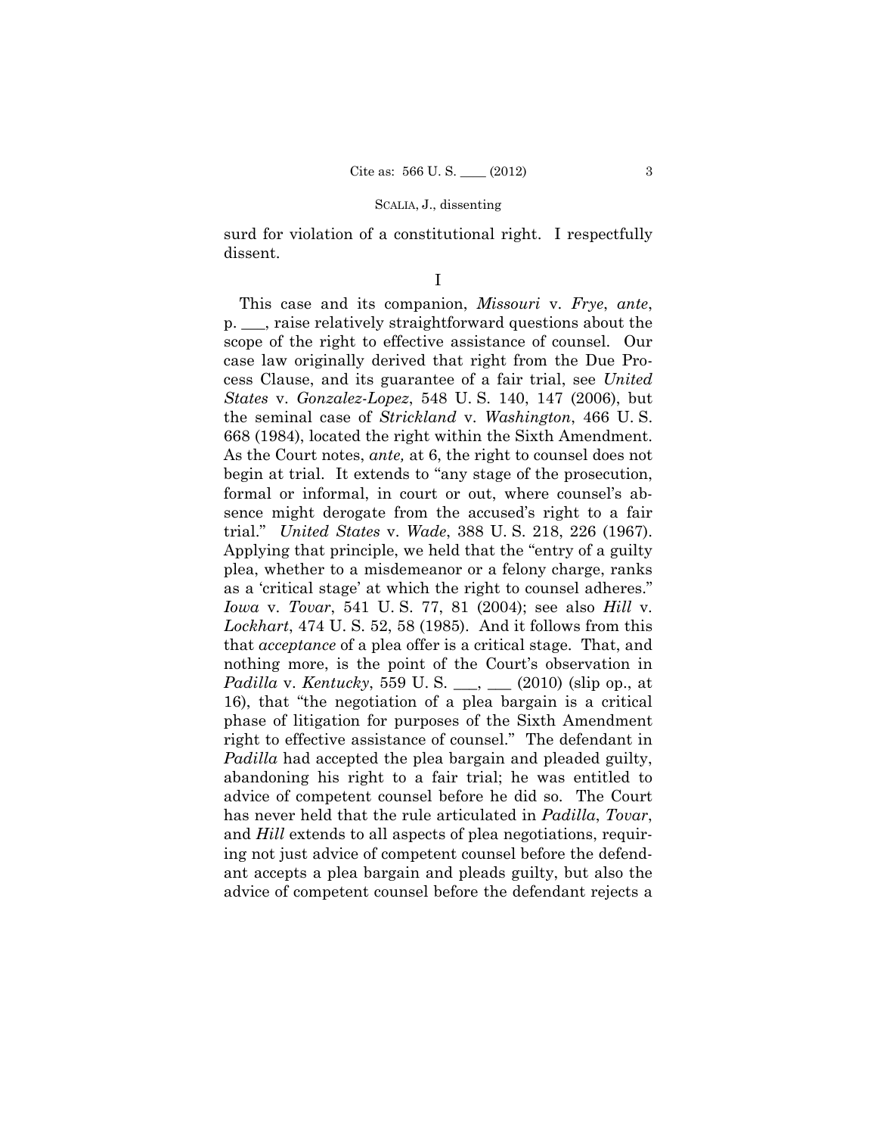surd for violation of a constitutional right. I respectfully dissent.

I

This case and its companion, *Missouri* v. *Frye*, *ante*, p. \_\_\_, raise relatively straightforward questions about the scope of the right to effective assistance of counsel. Our case law originally derived that right from the Due Process Clause, and its guarantee of a fair trial, see *United States* v. *Gonzalez-Lopez*, 548 U. S. 140, 147 (2006), but the seminal case of *Strickland* v. *Washington*, 466 U. S. 668 (1984), located the right within the Sixth Amendment. As the Court notes, *ante,* at 6, the right to counsel does not begin at trial. It extends to "any stage of the prosecution, formal or informal, in court or out, where counsel's absence might derogate from the accused's right to a fair trial." *United States* v. *Wade*, 388 U. S. 218, 226 (1967). Applying that principle, we held that the "entry of a guilty plea, whether to a misdemeanor or a felony charge, ranks as a 'critical stage' at which the right to counsel adheres." *Iowa* v. *Tovar*, 541 U. S. 77, 81 (2004); see also *Hill* v. *Lockhart*, 474 U. S. 52, 58 (1985). And it follows from this that *acceptance* of a plea offer is a critical stage. That, and nothing more, is the point of the Court's observation in *Padilla* v. *Kentucky*, 559 U. S. \_\_, \_\_ (2010) (slip op., at 16), that "the negotiation of a plea bargain is a critical phase of litigation for purposes of the Sixth Amendment right to effective assistance of counsel." The defendant in *Padilla* had accepted the plea bargain and pleaded guilty, abandoning his right to a fair trial; he was entitled to advice of competent counsel before he did so. The Court has never held that the rule articulated in *Padilla*, *Tovar*, and *Hill* extends to all aspects of plea negotiations, requiring not just advice of competent counsel before the defendant accepts a plea bargain and pleads guilty, but also the advice of competent counsel before the defendant rejects a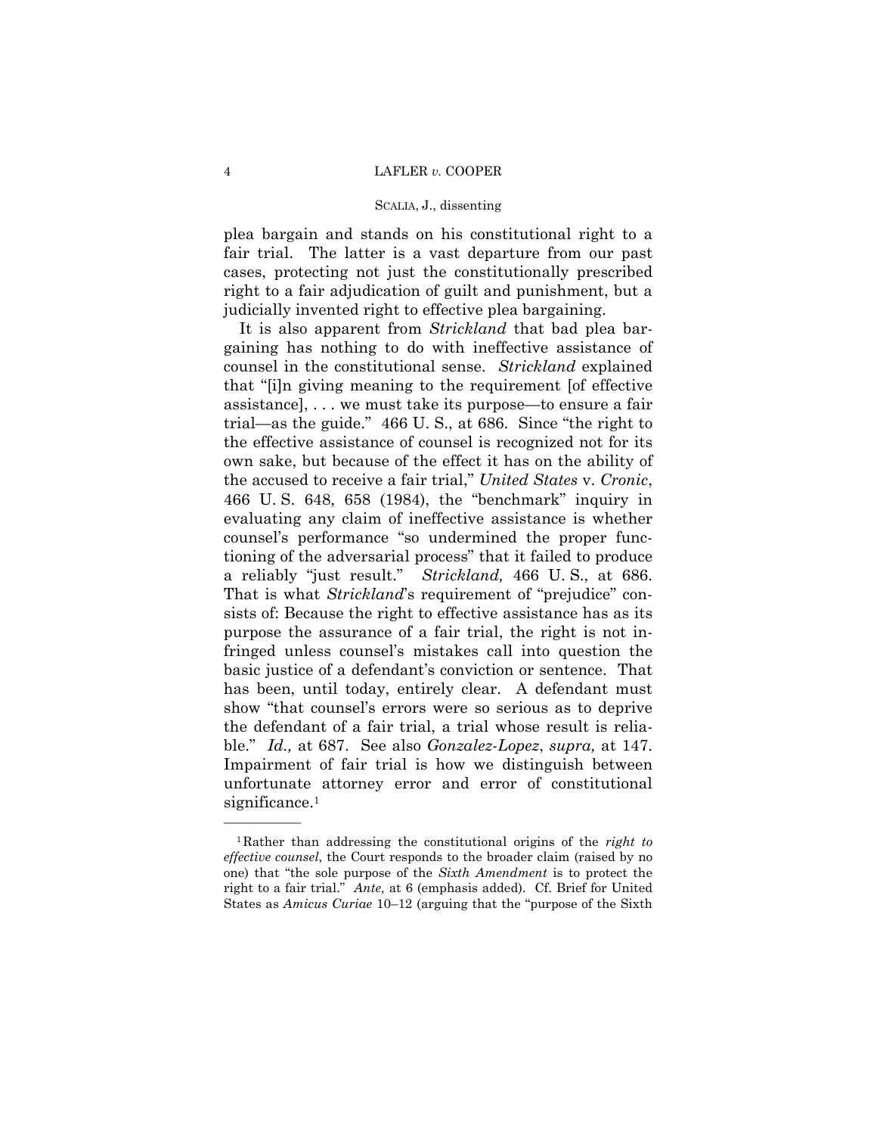plea bargain and stands on his constitutional right to a fair trial. The latter is a vast departure from our past cases, protecting not just the constitutionally prescribed right to a fair adjudication of guilt and punishment, but a judicially invented right to effective plea bargaining.

It is also apparent from *Strickland* that bad plea bargaining has nothing to do with ineffective assistance of counsel in the constitutional sense. *Strickland* explained that "[i]n giving meaning to the requirement [of effective assistance], . . . we must take its purpose—to ensure a fair trial—as the guide." 466 U. S., at 686. Since "the right to the effective assistance of counsel is recognized not for its own sake, but because of the effect it has on the ability of the accused to receive a fair trial," *United States* v. *Cronic*, 466 U. S. 648, 658 (1984), the "benchmark" inquiry in evaluating any claim of ineffective assistance is whether counsel's performance "so undermined the proper functioning of the adversarial process" that it failed to produce a reliably "just result." *Strickland,* 466 U. S., at 686. That is what *Strickland*'s requirement of "prejudice" consists of: Because the right to effective assistance has as its purpose the assurance of a fair trial, the right is not infringed unless counsel's mistakes call into question the basic justice of a defendant's conviction or sentence. That has been, until today, entirely clear. A defendant must show "that counsel's errors were so serious as to deprive the defendant of a fair trial, a trial whose result is reliable." *Id.,* at 687. See also *Gonzalez-Lopez*, *supra,* at 147. Impairment of fair trial is how we distinguish between unfortunate attorney error and error of constitutional significance.<sup>1</sup>

<sup>1</sup>Rather than addressing the constitutional origins of the *right to effective counsel*, the Court responds to the broader claim (raised by no one) that "the sole purpose of the *Sixth Amendment* is to protect the right to a fair trial." *Ante,* at 6 (emphasis added). Cf. Brief for United States as *Amicus Curiae* 10–12 (arguing that the "purpose of the Sixth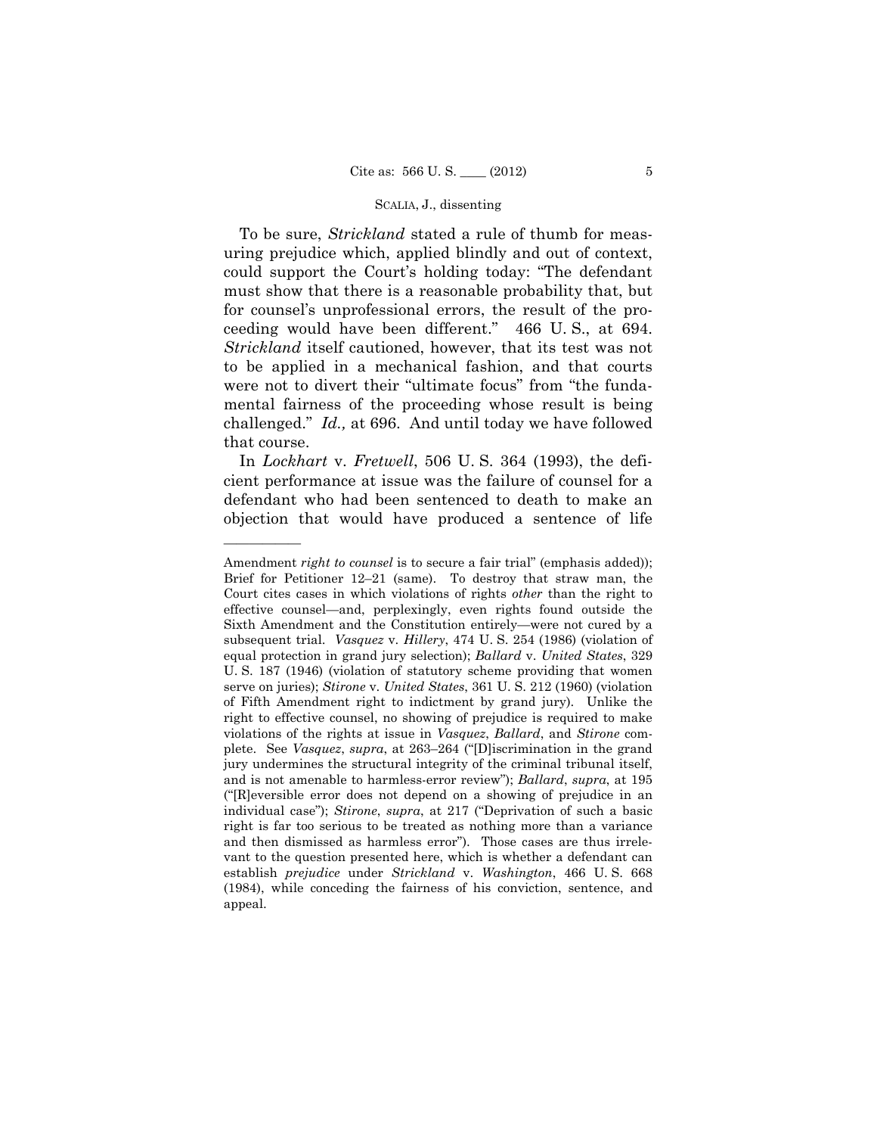To be sure, *Strickland* stated a rule of thumb for measuring prejudice which, applied blindly and out of context, could support the Court's holding today: "The defendant must show that there is a reasonable probability that, but for counsel's unprofessional errors, the result of the proceeding would have been different." 466 U. S., at 694. *Strickland* itself cautioned, however, that its test was not to be applied in a mechanical fashion, and that courts were not to divert their "ultimate focus" from "the fundamental fairness of the proceeding whose result is being challenged." *Id.,* at 696. And until today we have followed that course.

In *Lockhart* v. *Fretwell*, 506 U. S. 364 (1993), the deficient performance at issue was the failure of counsel for a defendant who had been sentenced to death to make an objection that would have produced a sentence of life

Amendment *right to counsel* is to secure a fair trial" (emphasis added)); Brief for Petitioner 12–21 (same). To destroy that straw man, the Court cites cases in which violations of rights *other* than the right to effective counsel—and, perplexingly, even rights found outside the Sixth Amendment and the Constitution entirely—were not cured by a subsequent trial. *Vasquez* v. *Hillery*, 474 U. S. 254 (1986) (violation of equal protection in grand jury selection); *Ballard* v. *United States*, 329 U. S. 187 (1946) (violation of statutory scheme providing that women serve on juries); *Stirone* v. *United States*, 361 U. S. 212 (1960) (violation of Fifth Amendment right to indictment by grand jury). Unlike the right to effective counsel, no showing of prejudice is required to make violations of the rights at issue in *Vasquez*, *Ballard*, and *Stirone* complete. See *Vasquez*, *supra*, at 263–264 ("[D]iscrimination in the grand jury undermines the structural integrity of the criminal tribunal itself, and is not amenable to harmless-error review"); *Ballard*, *supra*, at 195 ("[R]eversible error does not depend on a showing of prejudice in an individual case"); *Stirone*, *supra*, at 217 ("Deprivation of such a basic right is far too serious to be treated as nothing more than a variance and then dismissed as harmless error"). Those cases are thus irrelevant to the question presented here, which is whether a defendant can establish *prejudice* under *Strickland* v. *Washington*, 466 U. S. 668 (1984), while conceding the fairness of his conviction, sentence, and appeal.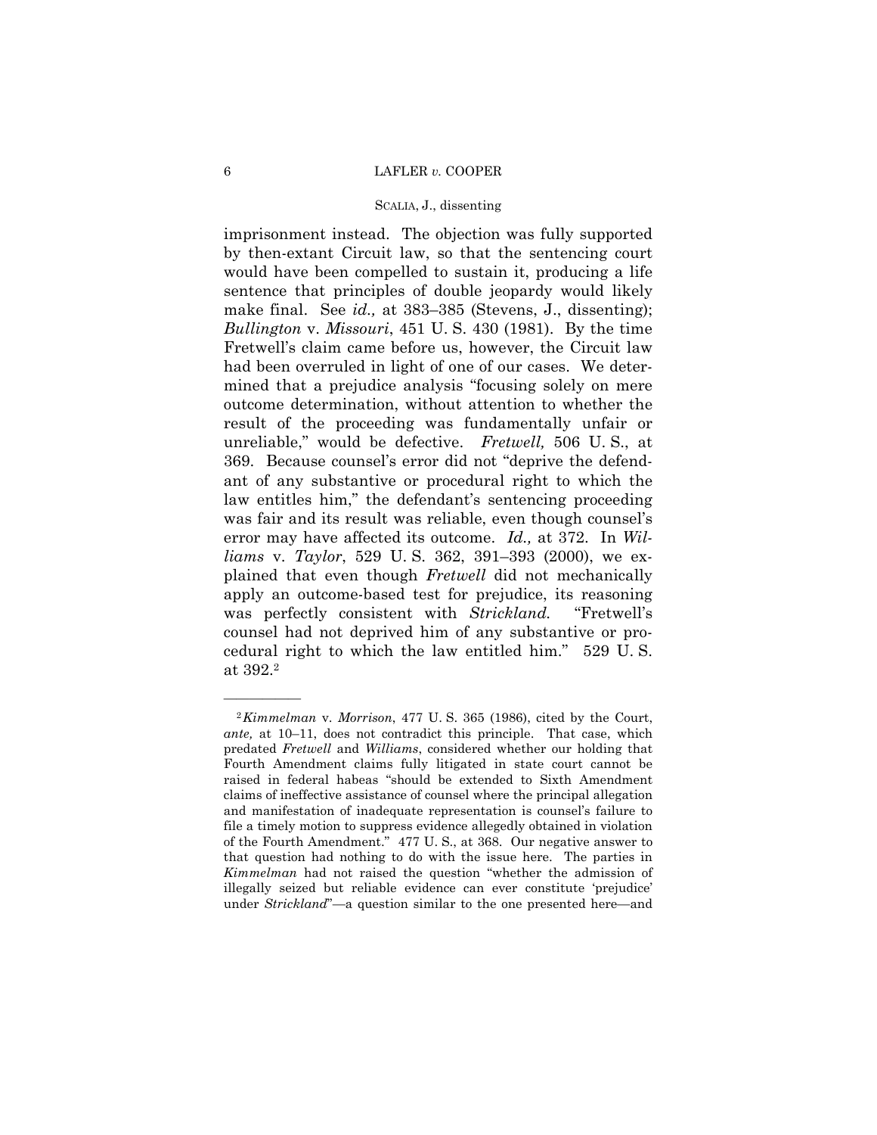was perfectly consistent with *Strickland.* "Fretwell's imprisonment instead. The objection was fully supported by then-extant Circuit law, so that the sentencing court would have been compelled to sustain it, producing a life sentence that principles of double jeopardy would likely make final. See *id.,* at 383–385 (Stevens, J., dissenting); *Bullington* v. *Missouri*, 451 U. S. 430 (1981). By the time Fretwell's claim came before us, however, the Circuit law had been overruled in light of one of our cases. We determined that a prejudice analysis "focusing solely on mere outcome determination, without attention to whether the result of the proceeding was fundamentally unfair or unreliable," would be defective. *Fretwell,* 506 U. S., at 369. Because counsel's error did not "deprive the defendant of any substantive or procedural right to which the law entitles him," the defendant's sentencing proceeding was fair and its result was reliable, even though counsel's error may have affected its outcome. *Id.,* at 372. In *Williams* v. *Taylor*, 529 U. S. 362, 391–393 (2000), we explained that even though *Fretwell* did not mechanically apply an outcome-based test for prejudice, its reasoning counsel had not deprived him of any substantive or procedural right to which the law entitled him." 529 U. S. at 392.2

<sup>2</sup>*Kimmelman* v. *Morrison*, 477 U. S. 365 (1986), cited by the Court, *ante,* at 10–11, does not contradict this principle. That case, which predated *Fretwell* and *Williams*, considered whether our holding that Fourth Amendment claims fully litigated in state court cannot be raised in federal habeas "should be extended to Sixth Amendment claims of ineffective assistance of counsel where the principal allegation and manifestation of inadequate representation is counsel's failure to file a timely motion to suppress evidence allegedly obtained in violation of the Fourth Amendment." 477 U. S., at 368. Our negative answer to that question had nothing to do with the issue here. The parties in *Kimmelman* had not raised the question "whether the admission of illegally seized but reliable evidence can ever constitute 'prejudice' under *Strickland*"—a question similar to the one presented here—and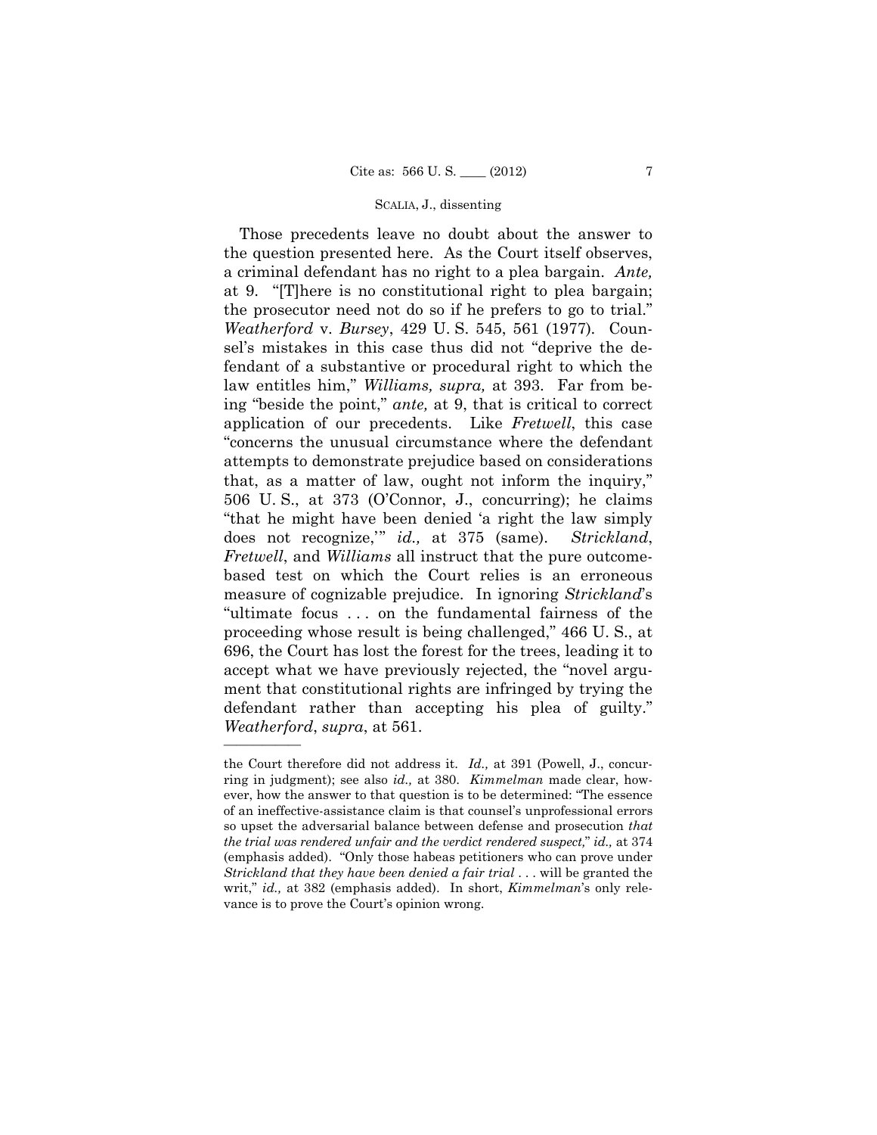Those precedents leave no doubt about the answer to the question presented here. As the Court itself observes, a criminal defendant has no right to a plea bargain. *Ante,*  at 9. "[T]here is no constitutional right to plea bargain; the prosecutor need not do so if he prefers to go to trial." *Weatherford* v. *Bursey*, 429 U. S. 545, 561 (1977)*.* Counsel's mistakes in this case thus did not "deprive the defendant of a substantive or procedural right to which the law entitles him," *Williams, supra,* at 393. Far from being "beside the point," *ante,* at 9, that is critical to correct application of our precedents. Like *Fretwell*, this case "concerns the unusual circumstance where the defendant attempts to demonstrate prejudice based on considerations that, as a matter of law, ought not inform the inquiry," 506 U. S., at 373 (O'Connor, J., concurring); he claims "that he might have been denied 'a right the law simply does not recognize,'" *id.,* at 375 (same). *Strickland*, *Fretwell*, and *Williams* all instruct that the pure outcomebased test on which the Court relies is an erroneous measure of cognizable prejudice. In ignoring *Strickland*'s "ultimate focus . . . on the fundamental fairness of the proceeding whose result is being challenged," 466 U. S., at 696, the Court has lost the forest for the trees, leading it to accept what we have previously rejected, the "novel argument that constitutional rights are infringed by trying the defendant rather than accepting his plea of guilty." *Weatherford*, *supra*, at 561.

the Court therefore did not address it. *Id.,* at 391 (Powell, J., concurring in judgment); see also *id.,* at 380. *Kimmelman* made clear, however, how the answer to that question is to be determined: "The essence of an ineffective-assistance claim is that counsel's unprofessional errors so upset the adversarial balance between defense and prosecution *that the trial was rendered unfair and the verdict rendered suspect,*" *id.,* at 374 (emphasis added). "Only those habeas petitioners who can prove under *Strickland that they have been denied a fair trial* . . . will be granted the writ," *id.,* at 382 (emphasis added). In short, *Kimmelman*'s only relevance is to prove the Court's opinion wrong.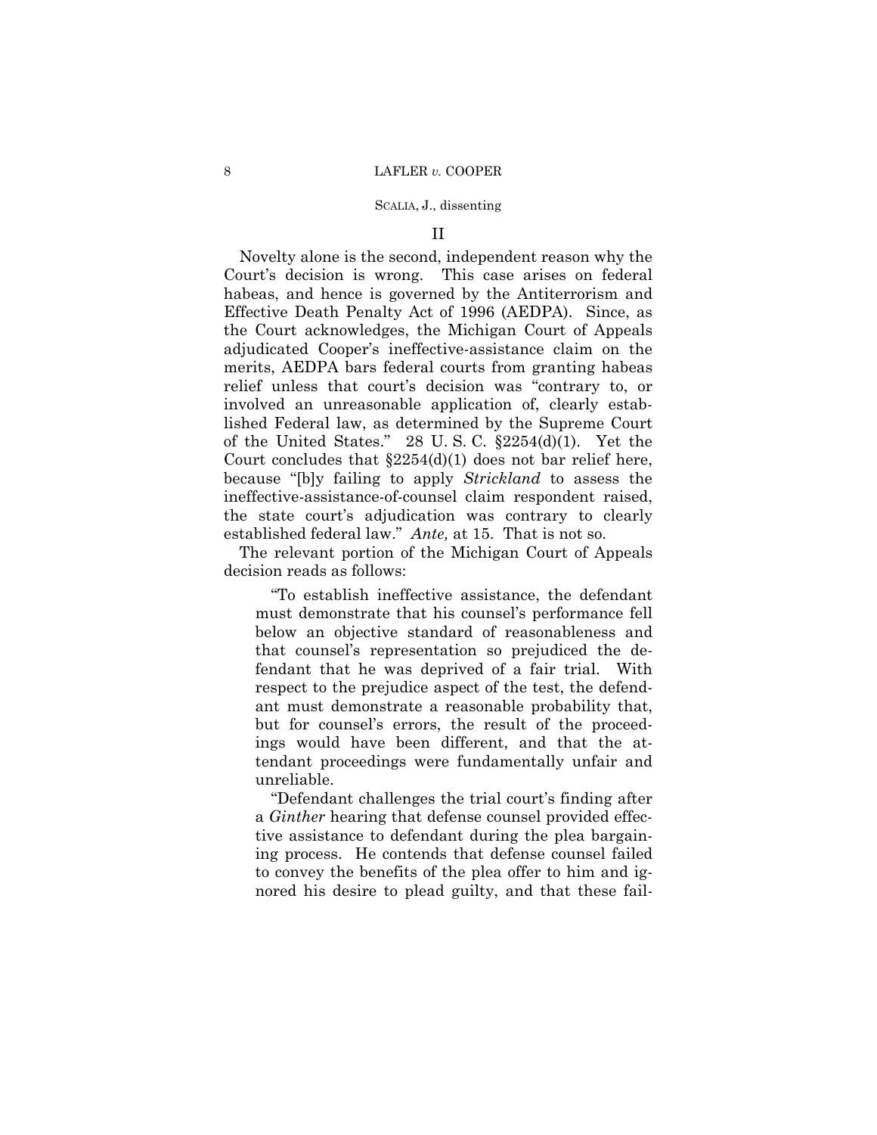## II

Novelty alone is the second, independent reason why the Court's decision is wrong. This case arises on federal habeas, and hence is governed by the Antiterrorism and Effective Death Penalty Act of 1996 (AEDPA). Since, as the Court acknowledges, the Michigan Court of Appeals adjudicated Cooper's ineffective-assistance claim on the merits, AEDPA bars federal courts from granting habeas relief unless that court's decision was "contrary to, or involved an unreasonable application of, clearly established Federal law, as determined by the Supreme Court of the United States." 28 U. S. C. §2254(d)(1). Yet the Court concludes that  $$2254(d)(1)$  does not bar relief here, because "[b]y failing to apply *Strickland* to assess the ineffective-assistance-of-counsel claim respondent raised, the state court's adjudication was contrary to clearly established federal law." *Ante,* at 15. That is not so.

The relevant portion of the Michigan Court of Appeals decision reads as follows:

"To establish ineffective assistance, the defendant must demonstrate that his counsel's performance fell below an objective standard of reasonableness and that counsel's representation so prejudiced the defendant that he was deprived of a fair trial. With respect to the prejudice aspect of the test, the defendant must demonstrate a reasonable probability that, but for counsel's errors, the result of the proceedings would have been different, and that the attendant proceedings were fundamentally unfair and unreliable.

"Defendant challenges the trial court's finding after a *Ginther* hearing that defense counsel provided effective assistance to defendant during the plea bargaining process. He contends that defense counsel failed to convey the benefits of the plea offer to him and ignored his desire to plead guilty, and that these fail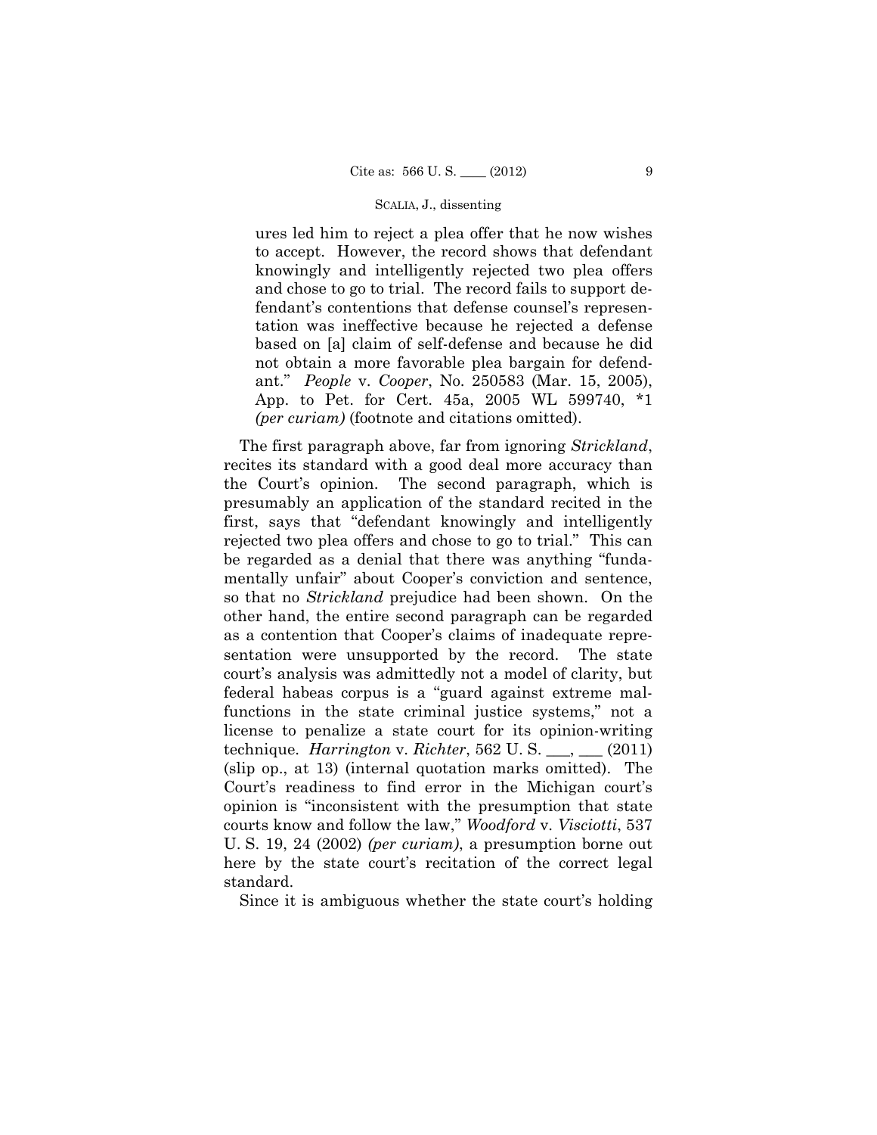ures led him to reject a plea offer that he now wishes to accept. However, the record shows that defendant knowingly and intelligently rejected two plea offers and chose to go to trial. The record fails to support defendant's contentions that defense counsel's representation was ineffective because he rejected a defense based on [a] claim of self-defense and because he did not obtain a more favorable plea bargain for defendant." *People* v. *Cooper*, No. 250583 (Mar. 15, 2005), App. to Pet. for Cert. 45a, 2005 WL 599740, \*1 *(per curiam)* (footnote and citations omitted).

The first paragraph above, far from ignoring *Strickland*, recites its standard with a good deal more accuracy than the Court's opinion. The second paragraph, which is presumably an application of the standard recited in the first, says that "defendant knowingly and intelligently rejected two plea offers and chose to go to trial." This can be regarded as a denial that there was anything "fundamentally unfair" about Cooper's conviction and sentence, so that no *Strickland* prejudice had been shown. On the other hand, the entire second paragraph can be regarded as a contention that Cooper's claims of inadequate representation were unsupported by the record. The state court's analysis was admittedly not a model of clarity, but federal habeas corpus is a "guard against extreme malfunctions in the state criminal justice systems," not a license to penalize a state court for its opinion-writing technique. *Harrington* v. *Richter*, 562 U. S. \_\_\_, \_\_\_ (2011) (slip op., at 13) (internal quotation marks omitted). The Court's readiness to find error in the Michigan court's opinion is "inconsistent with the presumption that state courts know and follow the law," *Woodford* v. *Visciotti*, 537 U. S. 19, 24 (2002) *(per curiam)*, a presumption borne out here by the state court's recitation of the correct legal standard.

Since it is ambiguous whether the state court's holding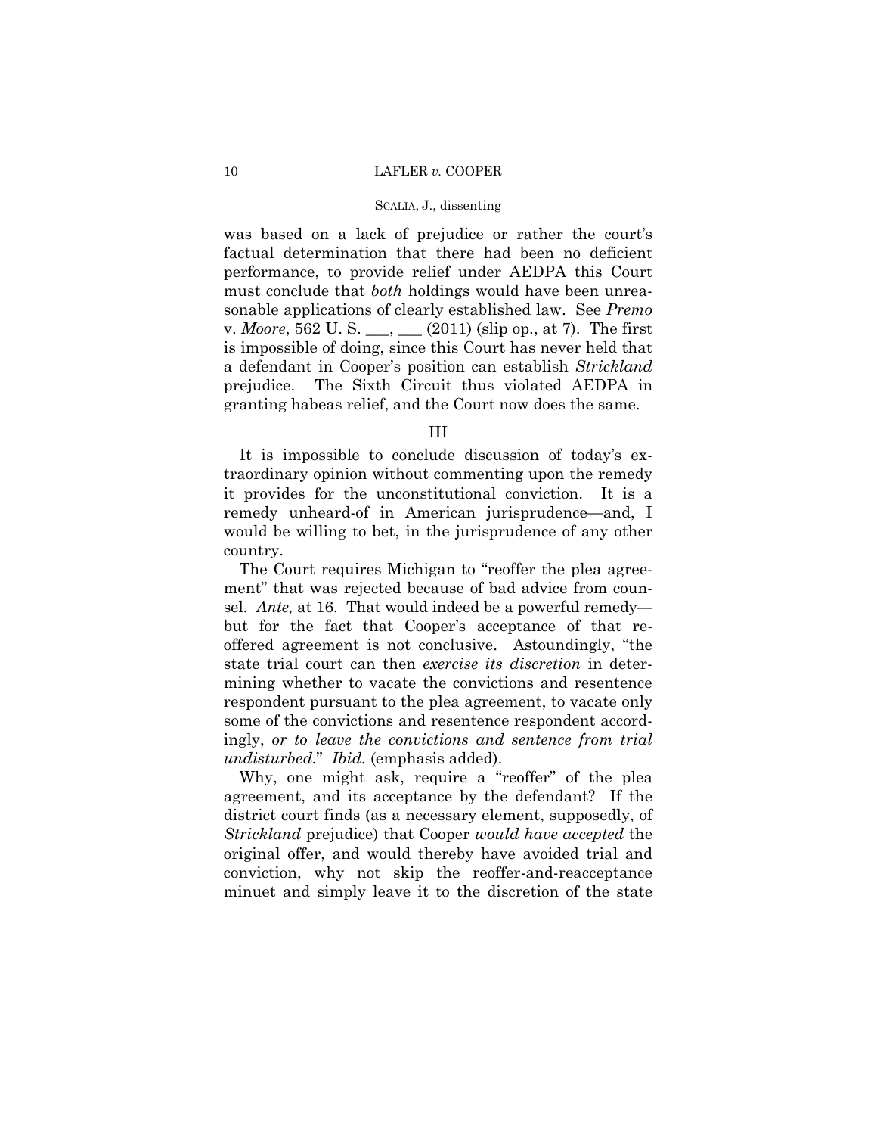was based on a lack of prejudice or rather the court's factual determination that there had been no deficient performance, to provide relief under AEDPA this Court must conclude that *both* holdings would have been unreasonable applications of clearly established law. See *Premo*  v. *Moore*, 562 U. S. \_\_\_, \_\_\_ (2011) (slip op., at 7). The first is impossible of doing, since this Court has never held that a defendant in Cooper's position can establish *Strickland*  prejudice. The Sixth Circuit thus violated AEDPA in granting habeas relief, and the Court now does the same.

III

It is impossible to conclude discussion of today's extraordinary opinion without commenting upon the remedy it provides for the unconstitutional conviction. It is a remedy unheard-of in American jurisprudence—and, I would be willing to bet, in the jurisprudence of any other country.

The Court requires Michigan to "reoffer the plea agreement" that was rejected because of bad advice from counsel. *Ante,* at 16. That would indeed be a powerful remedy but for the fact that Cooper's acceptance of that reoffered agreement is not conclusive. Astoundingly, "the state trial court can then *exercise its discretion* in determining whether to vacate the convictions and resentence respondent pursuant to the plea agreement, to vacate only some of the convictions and resentence respondent accordingly, *or to leave the convictions and sentence from trial undisturbed.*" *Ibid.* (emphasis added).

Why, one might ask, require a "reoffer" of the plea agreement, and its acceptance by the defendant? If the district court finds (as a necessary element, supposedly, of *Strickland* prejudice) that Cooper *would have accepted* the original offer, and would thereby have avoided trial and conviction, why not skip the reoffer-and-reacceptance minuet and simply leave it to the discretion of the state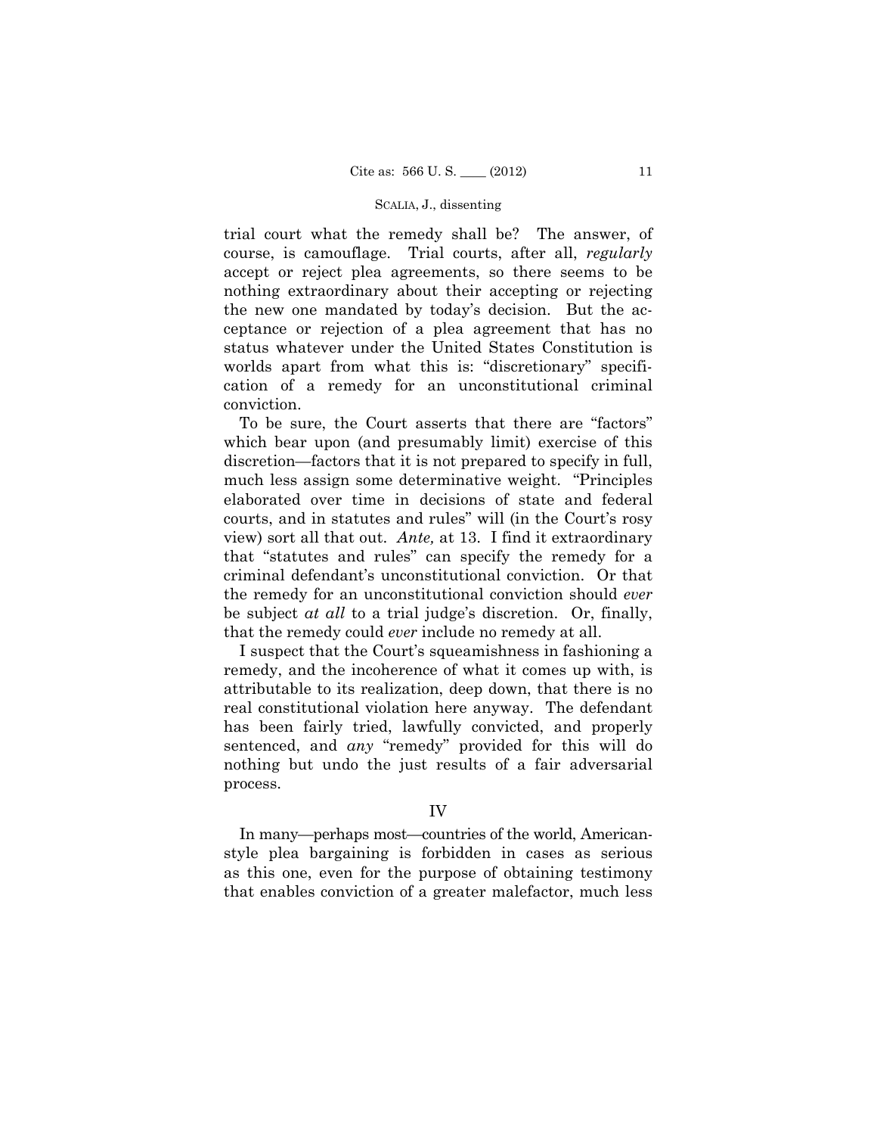trial court what the remedy shall be? The answer, of course, is camouflage. Trial courts, after all, *regularly* accept or reject plea agreements, so there seems to be nothing extraordinary about their accepting or rejecting the new one mandated by today's decision. But the acceptance or rejection of a plea agreement that has no status whatever under the United States Constitution is worlds apart from what this is: "discretionary" specification of a remedy for an unconstitutional criminal conviction.

To be sure, the Court asserts that there are "factors" which bear upon (and presumably limit) exercise of this discretion—factors that it is not prepared to specify in full, much less assign some determinative weight. "Principles elaborated over time in decisions of state and federal courts, and in statutes and rules" will (in the Court's rosy view) sort all that out. *Ante,* at 13. I find it extraordinary that "statutes and rules" can specify the remedy for a criminal defendant's unconstitutional conviction. Or that the remedy for an unconstitutional conviction should *ever*  be subject *at all* to a trial judge's discretion. Or, finally, that the remedy could *ever* include no remedy at all.

I suspect that the Court's squeamishness in fashioning a remedy, and the incoherence of what it comes up with, is attributable to its realization, deep down, that there is no real constitutional violation here anyway. The defendant has been fairly tried, lawfully convicted, and properly sentenced, and *any* "remedy" provided for this will do nothing but undo the just results of a fair adversarial process.

In many—perhaps most—countries of the world, Americanstyle plea bargaining is forbidden in cases as serious as this one, even for the purpose of obtaining testimony that enables conviction of a greater malefactor, much less

IV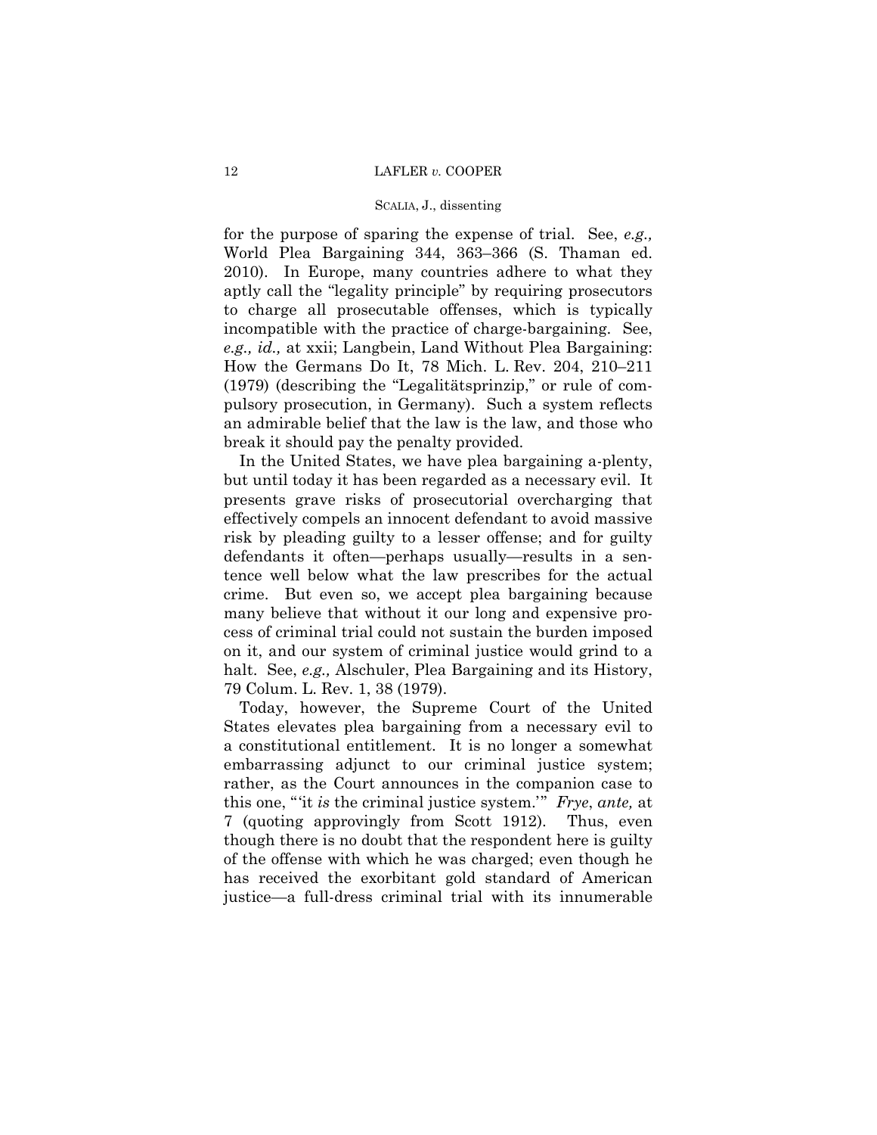for the purpose of sparing the expense of trial. See, *e.g.,* World Plea Bargaining 344, 363–366 (S. Thaman ed. 2010). In Europe, many countries adhere to what they aptly call the "legality principle" by requiring prosecutors to charge all prosecutable offenses, which is typically incompatible with the practice of charge-bargaining. See, *e.g., id.,* at xxii; Langbein, Land Without Plea Bargaining: How the Germans Do It, 78 Mich. L. Rev. 204, 210–211 (1979) (describing the "Legalitätsprinzip," or rule of compulsory prosecution, in Germany). Such a system reflects an admirable belief that the law is the law, and those who break it should pay the penalty provided.

In the United States, we have plea bargaining a-plenty, but until today it has been regarded as a necessary evil. It presents grave risks of prosecutorial overcharging that effectively compels an innocent defendant to avoid massive risk by pleading guilty to a lesser offense; and for guilty defendants it often—perhaps usually—results in a sentence well below what the law prescribes for the actual crime. But even so, we accept plea bargaining because many believe that without it our long and expensive process of criminal trial could not sustain the burden imposed on it, and our system of criminal justice would grind to a halt. See, *e.g.,* Alschuler, Plea Bargaining and its History, 79 Colum. L. Rev. 1, 38 (1979).

Today, however, the Supreme Court of the United States elevates plea bargaining from a necessary evil to a constitutional entitlement. It is no longer a somewhat embarrassing adjunct to our criminal justice system; rather, as the Court announces in the companion case to this one, "'it *is* the criminal justice system.'" *Frye*, *ante,* at 7 (quoting approvingly from Scott 1912). Thus, even though there is no doubt that the respondent here is guilty of the offense with which he was charged; even though he has received the exorbitant gold standard of American justice—a full-dress criminal trial with its innumerable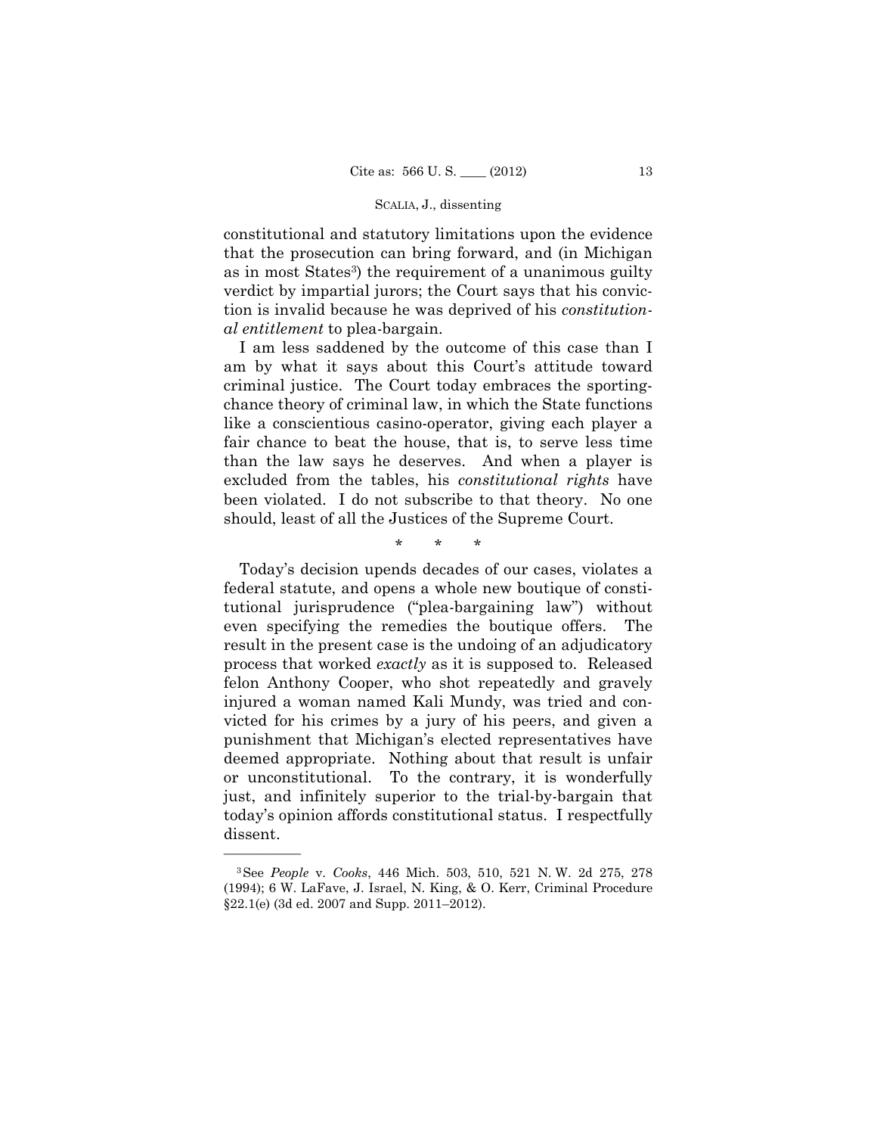constitutional and statutory limitations upon the evidence that the prosecution can bring forward, and (in Michigan as in most States<sup>3</sup>) the requirement of a unanimous guilty verdict by impartial jurors; the Court says that his conviction is invalid because he was deprived of his *constitutional entitlement* to plea-bargain.

I am less saddened by the outcome of this case than I am by what it says about this Court's attitude toward criminal justice. The Court today embraces the sportingchance theory of criminal law, in which the State functions like a conscientious casino-operator, giving each player a fair chance to beat the house, that is, to serve less time than the law says he deserves. And when a player is excluded from the tables, his *constitutional rights* have been violated. I do not subscribe to that theory. No one should, least of all the Justices of the Supreme Court.

\* \* \*

Today's decision upends decades of our cases, violates a federal statute, and opens a whole new boutique of constitutional jurisprudence ("plea-bargaining law") without even specifying the remedies the boutique offers. The result in the present case is the undoing of an adjudicatory process that worked *exactly* as it is supposed to. Released felon Anthony Cooper, who shot repeatedly and gravely injured a woman named Kali Mundy, was tried and convicted for his crimes by a jury of his peers, and given a punishment that Michigan's elected representatives have deemed appropriate. Nothing about that result is unfair or unconstitutional. To the contrary, it is wonderfully just, and infinitely superior to the trial-by-bargain that today's opinion affords constitutional status. I respectfully dissent.

<sup>3</sup>See *People* v. *Cooks*, 446 Mich. 503, 510, 521 N. W. 2d 275, 278 (1994); 6 W. LaFave, J. Israel, N. King, & O. Kerr, Criminal Procedure §22.1(e) (3d ed. 2007 and Supp. 2011–2012).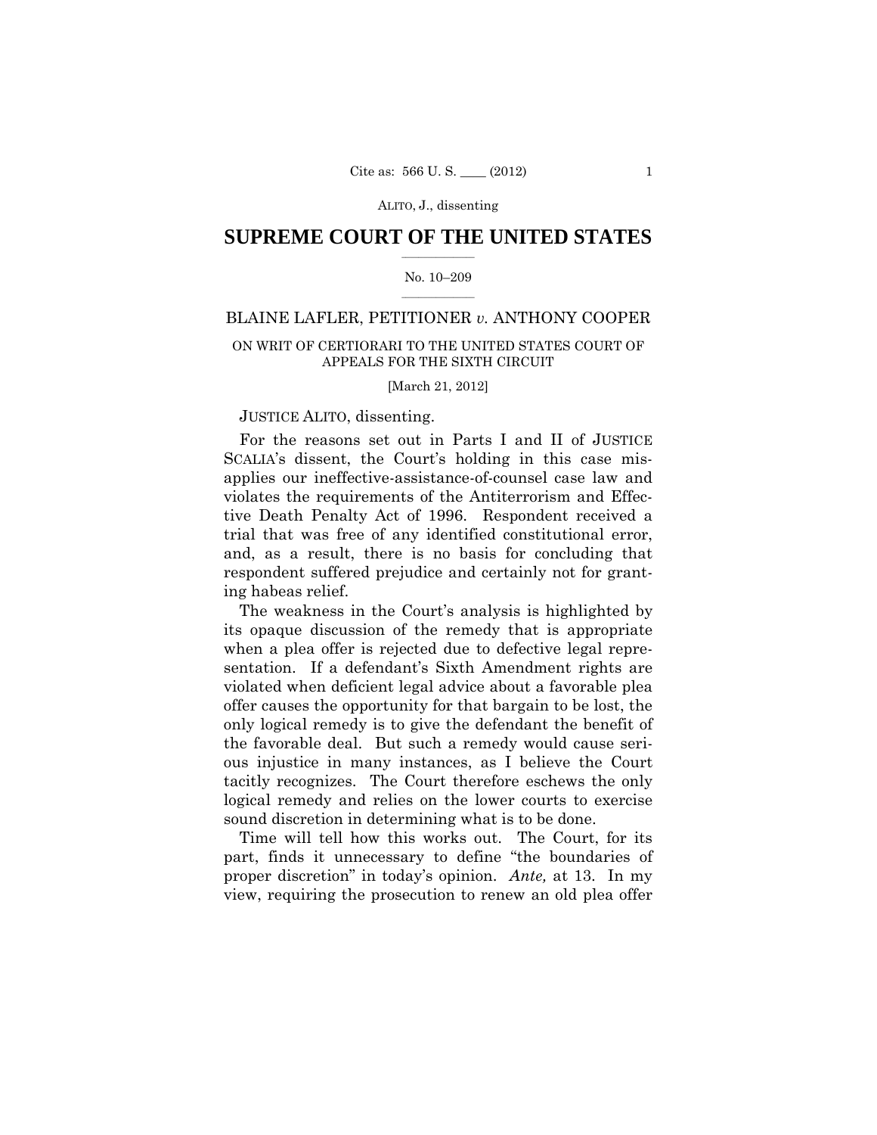ALITO, J., dissenting

## $\frac{1}{2}$  ,  $\frac{1}{2}$  ,  $\frac{1}{2}$  ,  $\frac{1}{2}$  ,  $\frac{1}{2}$  ,  $\frac{1}{2}$  ,  $\frac{1}{2}$ **SUPREME COURT OF THE UNITED STATES**

#### $\frac{1}{2}$  ,  $\frac{1}{2}$  ,  $\frac{1}{2}$  ,  $\frac{1}{2}$  ,  $\frac{1}{2}$  ,  $\frac{1}{2}$ No. 10–209

## BLAINE LAFLER, PETITIONER *v.* ANTHONY COOPER

## ON WRIT OF CERTIORARI TO THE UNITED STATES COURT OF APPEALS FOR THE SIXTH CIRCUIT

[March 21, 2012]

## JUSTICE ALITO, dissenting.

For the reasons set out in Parts I and II of JUSTICE SCALIA's dissent, the Court's holding in this case misapplies our ineffective-assistance-of-counsel case law and violates the requirements of the Antiterrorism and Effective Death Penalty Act of 1996. Respondent received a trial that was free of any identified constitutional error, and, as a result, there is no basis for concluding that respondent suffered prejudice and certainly not for granting habeas relief.

The weakness in the Court's analysis is highlighted by its opaque discussion of the remedy that is appropriate when a plea offer is rejected due to defective legal representation. If a defendant's Sixth Amendment rights are violated when deficient legal advice about a favorable plea offer causes the opportunity for that bargain to be lost, the only logical remedy is to give the defendant the benefit of the favorable deal. But such a remedy would cause serious injustice in many instances, as I believe the Court tacitly recognizes. The Court therefore eschews the only logical remedy and relies on the lower courts to exercise sound discretion in determining what is to be done.

Time will tell how this works out. The Court, for its part, finds it unnecessary to define "the boundaries of proper discretion" in today's opinion. *Ante,* at 13. In my view, requiring the prosecution to renew an old plea offer